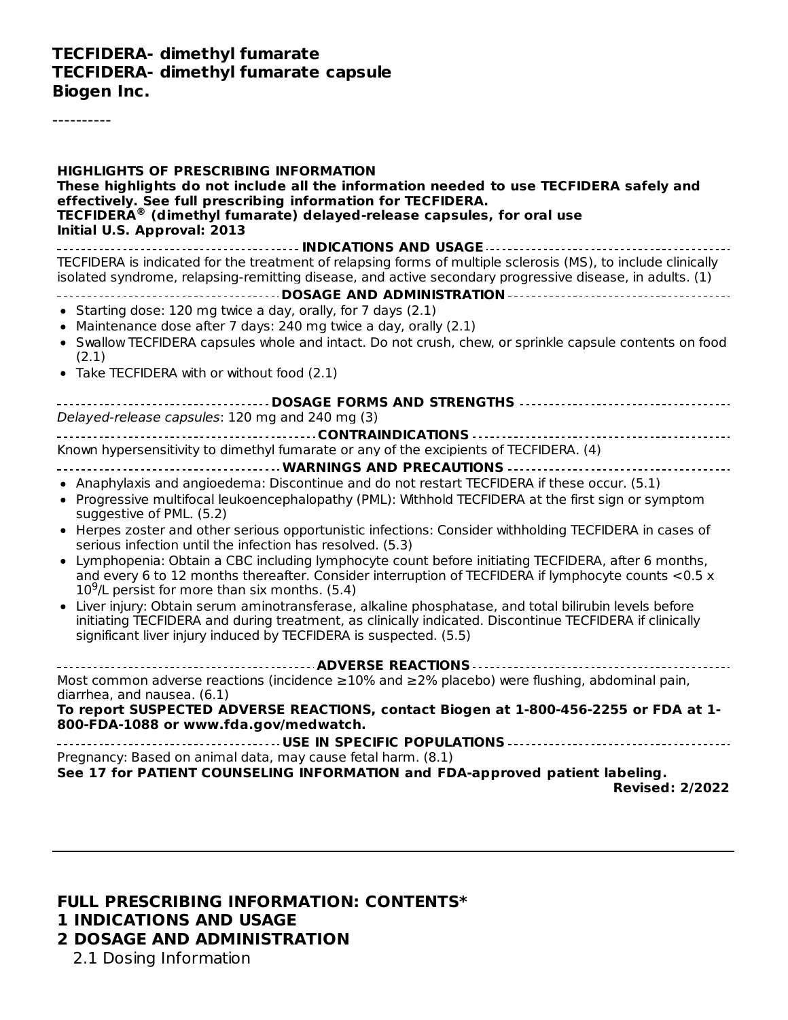#### **TECFIDERA- dimethyl fumarate TECFIDERA- dimethyl fumarate capsule Biogen Inc.**

----------

| <b>HIGHLIGHTS OF PRESCRIBING INFORMATION</b><br>These highlights do not include all the information needed to use TECFIDERA safely and<br>effectively. See full prescribing information for TECFIDERA.<br>TECFIDERA® (dimethyl fumarate) delayed-release capsules, for oral use<br>Initial U.S. Approval: 2013                                                                                                                                                                                                                                                                                                                                                                                                                                                                                                                                                                                                                                                                                                                                            |
|-----------------------------------------------------------------------------------------------------------------------------------------------------------------------------------------------------------------------------------------------------------------------------------------------------------------------------------------------------------------------------------------------------------------------------------------------------------------------------------------------------------------------------------------------------------------------------------------------------------------------------------------------------------------------------------------------------------------------------------------------------------------------------------------------------------------------------------------------------------------------------------------------------------------------------------------------------------------------------------------------------------------------------------------------------------|
| TECFIDERA is indicated for the treatment of relapsing forms of multiple sclerosis (MS), to include clinically<br>isolated syndrome, relapsing-remitting disease, and active secondary progressive disease, in adults. (1)<br>• Starting dose: 120 mg twice a day, orally, for 7 days (2.1)<br>• Maintenance dose after 7 days: 240 mg twice a day, orally (2.1)<br>• Swallow TECFIDERA capsules whole and intact. Do not crush, chew, or sprinkle capsule contents on food<br>(2.1)<br>• Take TECFIDERA with or without food (2.1)                                                                                                                                                                                                                                                                                                                                                                                                                                                                                                                        |
| ________________________________DOSAGE FORMS AND STRENGTHS ----------------------------------<br>Delayed-release capsules: 120 mg and 240 mg (3)                                                                                                                                                                                                                                                                                                                                                                                                                                                                                                                                                                                                                                                                                                                                                                                                                                                                                                          |
| Known hypersensitivity to dimethyl fumarate or any of the excipients of TECFIDERA. (4)<br>• Anaphylaxis and angioedema: Discontinue and do not restart TECFIDERA if these occur. (5.1)<br>• Progressive multifocal leukoencephalopathy (PML): Withhold TECFIDERA at the first sign or symptom<br>suggestive of PML. (5.2)<br>• Herpes zoster and other serious opportunistic infections: Consider withholding TECFIDERA in cases of<br>serious infection until the infection has resolved. (5.3)<br>• Lymphopenia: Obtain a CBC including lymphocyte count before initiating TECFIDERA, after 6 months,<br>and every 6 to 12 months thereafter. Consider interruption of TECFIDERA if lymphocyte counts <0.5 x<br>$109/L$ persist for more than six months. (5.4)<br>Liver injury: Obtain serum aminotransferase, alkaline phosphatase, and total bilirubin levels before<br>initiating TECFIDERA and during treatment, as clinically indicated. Discontinue TECFIDERA if clinically<br>significant liver injury induced by TECFIDERA is suspected. (5.5) |
| Most common adverse reactions (incidence $\geq$ 10% and $\geq$ 2% placebo) were flushing, abdominal pain,<br>diarrhea, and nausea. (6.1)<br>To report SUSPECTED ADVERSE REACTIONS, contact Biogen at 1-800-456-2255 or FDA at 1-<br>800-FDA-1088 or www.fda.gov/medwatch.                                                                                                                                                                                                                                                                                                                                                                                                                                                                                                                                                                                                                                                                                                                                                                                 |
| Pregnancy: Based on animal data, may cause fetal harm. (8.1)<br>See 17 for PATIENT COUNSELING INFORMATION and FDA-approved patient labeling.<br><b>Revised: 2/2022</b>                                                                                                                                                                                                                                                                                                                                                                                                                                                                                                                                                                                                                                                                                                                                                                                                                                                                                    |

# **FULL PRESCRIBING INFORMATION: CONTENTS\* 1 INDICATIONS AND USAGE**

**2 DOSAGE AND ADMINISTRATION**

2.1 Dosing Information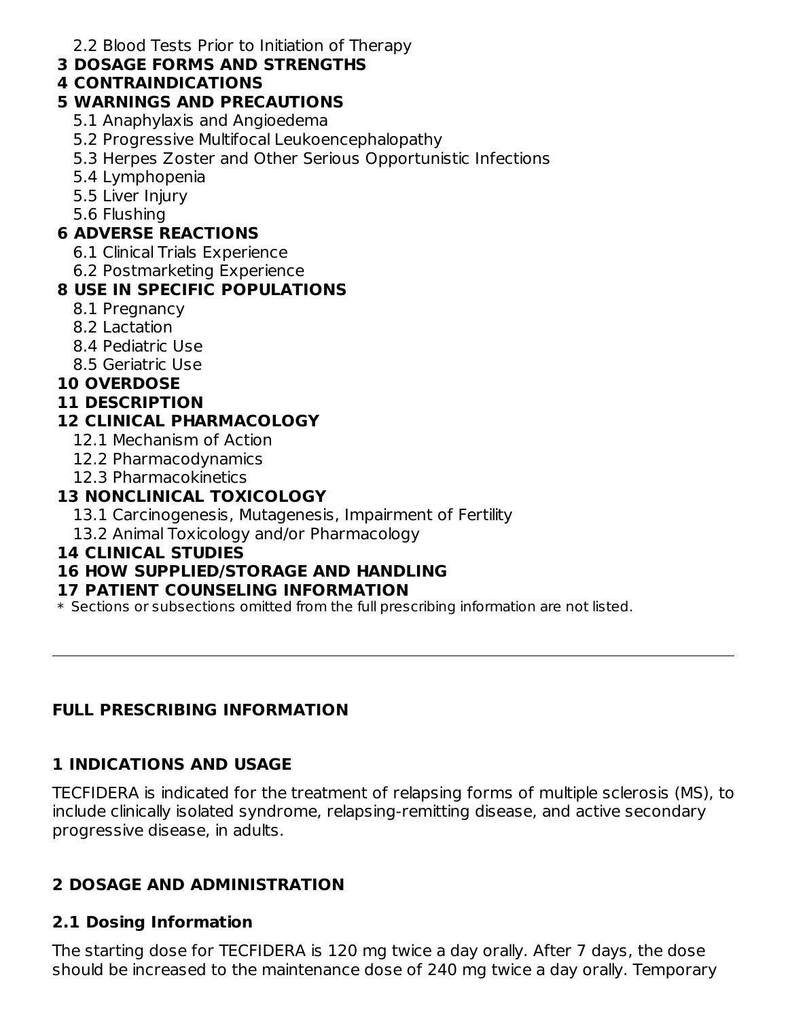2.2 Blood Tests Prior to Initiation of Therapy

#### **3 DOSAGE FORMS AND STRENGTHS**

## **4 CONTRAINDICATIONS**

## **5 WARNINGS AND PRECAUTIONS**

- 5.1 Anaphylaxis and Angioedema
- 5.2 Progressive Multifocal Leukoencephalopathy
- 5.3 Herpes Zoster and Other Serious Opportunistic Infections
- 5.4 Lymphopenia
- 5.5 Liver Injury
- 5.6 Flushing

## **6 ADVERSE REACTIONS**

- 6.1 Clinical Trials Experience
- 6.2 Postmarketing Experience

# **8 USE IN SPECIFIC POPULATIONS**

- 8.1 Pregnancy
- 8.2 Lactation
- 8.4 Pediatric Use
- 8.5 Geriatric Use

## **10 OVERDOSE**

## **11 DESCRIPTION**

# **12 CLINICAL PHARMACOLOGY**

- 12.1 Mechanism of Action
- 12.2 Pharmacodynamics
- 12.3 Pharmacokinetics

# **13 NONCLINICAL TOXICOLOGY**

- 13.1 Carcinogenesis, Mutagenesis, Impairment of Fertility
- 13.2 Animal Toxicology and/or Pharmacology

## **14 CLINICAL STUDIES**

# **16 HOW SUPPLIED/STORAGE AND HANDLING**

#### **17 PATIENT COUNSELING INFORMATION**

\* Sections or subsections omitted from the full prescribing information are not listed.

# **FULL PRESCRIBING INFORMATION**

# **1 INDICATIONS AND USAGE**

TECFIDERA is indicated for the treatment of relapsing forms of multiple sclerosis (MS), to include clinically isolated syndrome, relapsing-remitting disease, and active secondary progressive disease, in adults.

# **2 DOSAGE AND ADMINISTRATION**

# **2.1 Dosing Information**

The starting dose for TECFIDERA is 120 mg twice a day orally. After 7 days, the dose should be increased to the maintenance dose of 240 mg twice a day orally. Temporary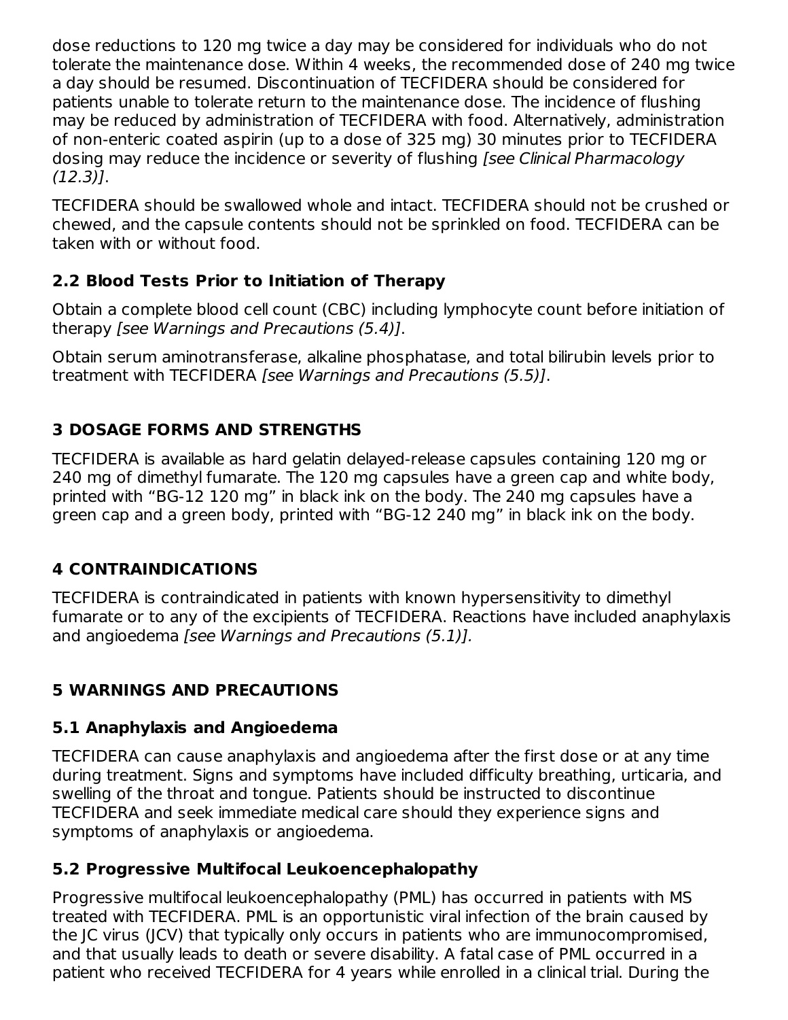dose reductions to 120 mg twice a day may be considered for individuals who do not tolerate the maintenance dose. Within 4 weeks, the recommended dose of 240 mg twice a day should be resumed. Discontinuation of TECFIDERA should be considered for patients unable to tolerate return to the maintenance dose. The incidence of flushing may be reduced by administration of TECFIDERA with food. Alternatively, administration of non-enteric coated aspirin (up to a dose of 325 mg) 30 minutes prior to TECFIDERA dosing may reduce the incidence or severity of flushing [see Clinical Pharmacology (12.3)].

TECFIDERA should be swallowed whole and intact. TECFIDERA should not be crushed or chewed, and the capsule contents should not be sprinkled on food. TECFIDERA can be taken with or without food.

# **2.2 Blood Tests Prior to Initiation of Therapy**

Obtain a complete blood cell count (CBC) including lymphocyte count before initiation of therapy [see Warnings and Precautions (5.4)].

Obtain serum aminotransferase, alkaline phosphatase, and total bilirubin levels prior to treatment with TECFIDERA [see Warnings and Precautions (5.5)].

# **3 DOSAGE FORMS AND STRENGTHS**

TECFIDERA is available as hard gelatin delayed-release capsules containing 120 mg or 240 mg of dimethyl fumarate. The 120 mg capsules have a green cap and white body, printed with "BG-12 120 mg" in black ink on the body. The 240 mg capsules have a green cap and a green body, printed with "BG-12 240 mg" in black ink on the body.

# **4 CONTRAINDICATIONS**

TECFIDERA is contraindicated in patients with known hypersensitivity to dimethyl fumarate or to any of the excipients of TECFIDERA. Reactions have included anaphylaxis and angioedema [see Warnings and Precautions (5.1)].

## **5 WARNINGS AND PRECAUTIONS**

## **5.1 Anaphylaxis and Angioedema**

TECFIDERA can cause anaphylaxis and angioedema after the first dose or at any time during treatment. Signs and symptoms have included difficulty breathing, urticaria, and swelling of the throat and tongue. Patients should be instructed to discontinue TECFIDERA and seek immediate medical care should they experience signs and symptoms of anaphylaxis or angioedema.

## **5.2 Progressive Multifocal Leukoencephalopathy**

Progressive multifocal leukoencephalopathy (PML) has occurred in patients with MS treated with TECFIDERA. PML is an opportunistic viral infection of the brain caused by the JC virus (JCV) that typically only occurs in patients who are immunocompromised, and that usually leads to death or severe disability. A fatal case of PML occurred in a patient who received TECFIDERA for 4 years while enrolled in a clinical trial. During the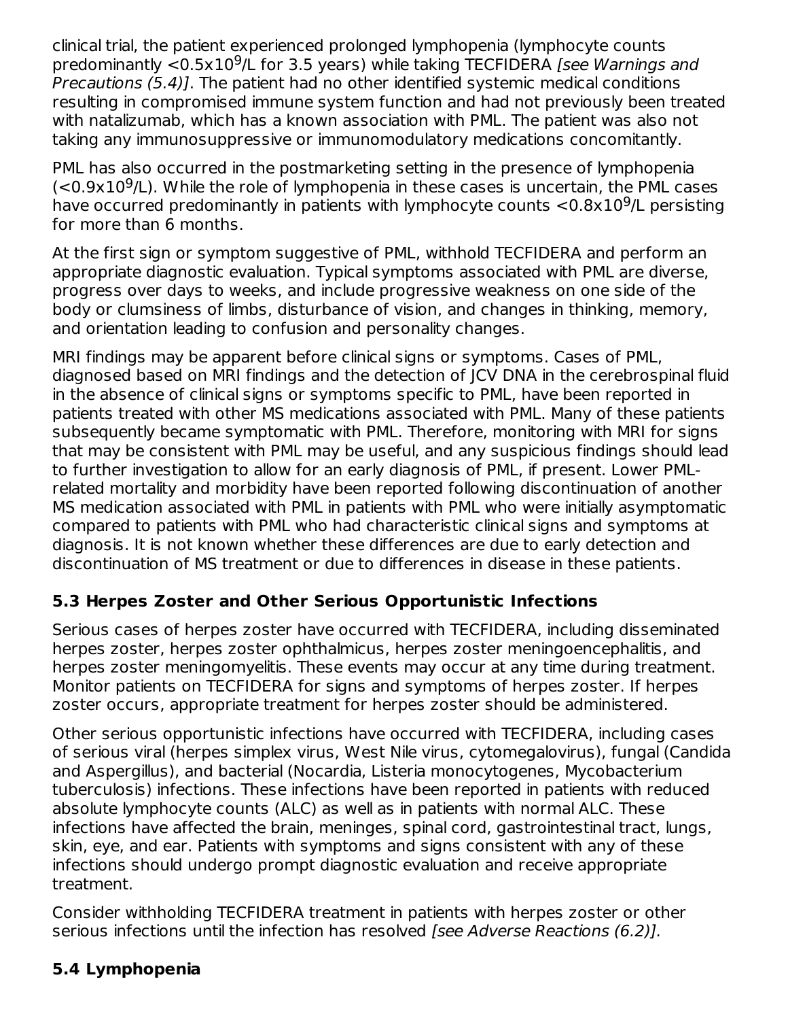clinical trial, the patient experienced prolonged lymphopenia (lymphocyte counts predominantly <0.5x10<sup>9</sup>/L for 3.5 years) while taking TECFIDERA [see Warnings and Precautions (5.4)]. The patient had no other identified systemic medical conditions resulting in compromised immune system function and had not previously been treated with natalizumab, which has a known association with PML. The patient was also not taking any immunosuppressive or immunomodulatory medications concomitantly.

PML has also occurred in the postmarketing setting in the presence of lymphopenia  $\approx 0.9 \times 10^9$ /L). While the role of lymphopenia in these cases is uncertain, the PML cases have occurred predominantly in patients with lymphocyte counts  $<$  0.8x10<sup>9</sup>/L persisting for more than 6 months.

At the first sign or symptom suggestive of PML, withhold TECFIDERA and perform an appropriate diagnostic evaluation. Typical symptoms associated with PML are diverse, progress over days to weeks, and include progressive weakness on one side of the body or clumsiness of limbs, disturbance of vision, and changes in thinking, memory, and orientation leading to confusion and personality changes.

MRI findings may be apparent before clinical signs or symptoms. Cases of PML, diagnosed based on MRI findings and the detection of JCV DNA in the cerebrospinal fluid in the absence of clinical signs or symptoms specific to PML, have been reported in patients treated with other MS medications associated with PML. Many of these patients subsequently became symptomatic with PML. Therefore, monitoring with MRI for signs that may be consistent with PML may be useful, and any suspicious findings should lead to further investigation to allow for an early diagnosis of PML, if present. Lower PMLrelated mortality and morbidity have been reported following discontinuation of another MS medication associated with PML in patients with PML who were initially asymptomatic compared to patients with PML who had characteristic clinical signs and symptoms at diagnosis. It is not known whether these differences are due to early detection and discontinuation of MS treatment or due to differences in disease in these patients.

# **5.3 Herpes Zoster and Other Serious Opportunistic Infections**

Serious cases of herpes zoster have occurred with TECFIDERA, including disseminated herpes zoster, herpes zoster ophthalmicus, herpes zoster meningoencephalitis, and herpes zoster meningomyelitis. These events may occur at any time during treatment. Monitor patients on TECFIDERA for signs and symptoms of herpes zoster. If herpes zoster occurs, appropriate treatment for herpes zoster should be administered.

Other serious opportunistic infections have occurred with TECFIDERA, including cases of serious viral (herpes simplex virus, West Nile virus, cytomegalovirus), fungal (Candida and Aspergillus), and bacterial (Nocardia, Listeria monocytogenes, Mycobacterium tuberculosis) infections. These infections have been reported in patients with reduced absolute lymphocyte counts (ALC) as well as in patients with normal ALC. These infections have affected the brain, meninges, spinal cord, gastrointestinal tract, lungs, skin, eye, and ear. Patients with symptoms and signs consistent with any of these infections should undergo prompt diagnostic evaluation and receive appropriate treatment.

Consider withholding TECFIDERA treatment in patients with herpes zoster or other serious infections until the infection has resolved [see Adverse Reactions (6.2)].

## **5.4 Lymphopenia**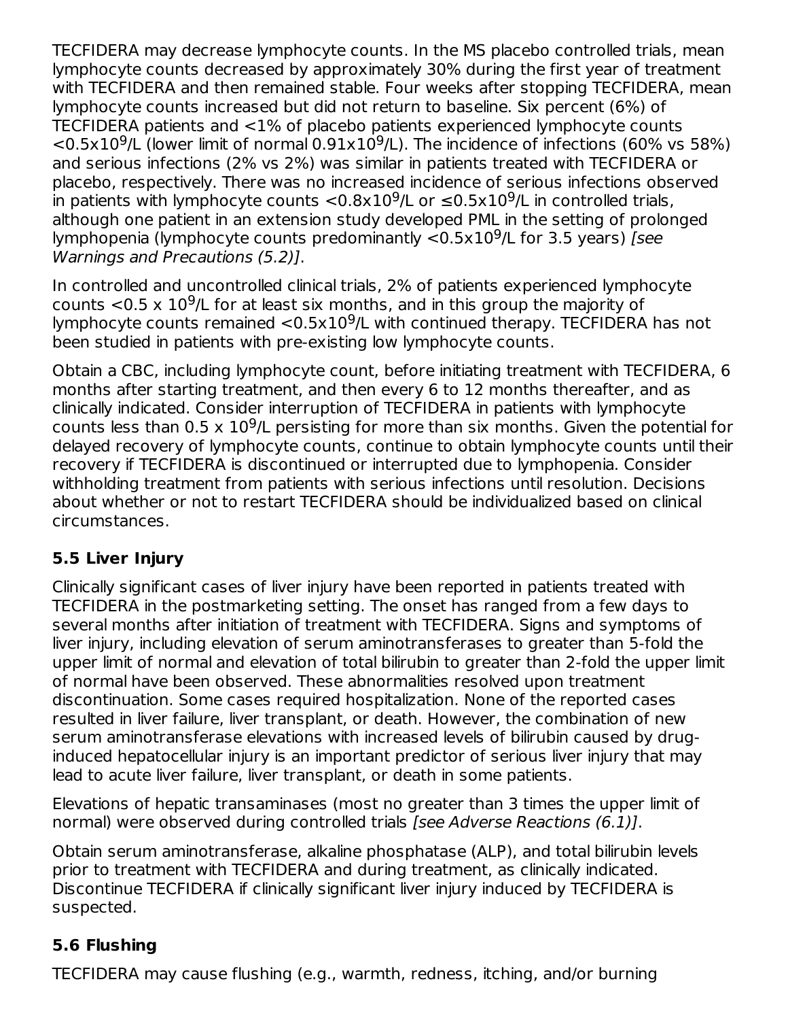TECFIDERA may decrease lymphocyte counts. In the MS placebo controlled trials, mean lymphocyte counts decreased by approximately 30% during the first year of treatment with TECFIDERA and then remained stable. Four weeks after stopping TECFIDERA, mean lymphocyte counts increased but did not return to baseline. Six percent (6%) of TECFIDERA patients and <1% of placebo patients experienced lymphocyte counts  $<$ 0.5x10<sup>9</sup>/L (lower limit of normal 0.91x10<sup>9</sup>/L). The incidence of infections (60% vs 58%) and serious infections (2% vs 2%) was similar in patients treated with TECFIDERA or placebo, respectively. There was no increased incidence of serious infections observed in patients with lymphocyte counts  $<$  0.8x10<sup>9</sup>/L or  $\leq$  0.5x10<sup>9</sup>/L in controlled trials, although one patient in an extension study developed PML in the setting of prolonged lymphopenia (lymphocyte counts predominantly  $<$ 0.5x10<sup>9</sup>/L for 3.5 years) [see Warnings and Precautions (5.2)].

In controlled and uncontrolled clinical trials, 2% of patients experienced lymphocyte counts  $<$  0.5 x 10<sup>9</sup>/L for at least six months, and in this group the majority of lymphocyte counts remained  $<$ 0.5x10<sup>9</sup>/L with continued therapy. TECFIDERA has not been studied in patients with pre-existing low lymphocyte counts.

Obtain a CBC, including lymphocyte count, before initiating treatment with TECFIDERA, 6 months after starting treatment, and then every 6 to 12 months thereafter, and as clinically indicated. Consider interruption of TECFIDERA in patients with lymphocyte counts less than  $0.5 \times 10^9$ /L persisting for more than six months. Given the potential for delayed recovery of lymphocyte counts, continue to obtain lymphocyte counts until their recovery if TECFIDERA is discontinued or interrupted due to lymphopenia. Consider withholding treatment from patients with serious infections until resolution. Decisions about whether or not to restart TECFIDERA should be individualized based on clinical circumstances.

# **5.5 Liver Injury**

Clinically significant cases of liver injury have been reported in patients treated with TECFIDERA in the postmarketing setting. The onset has ranged from a few days to several months after initiation of treatment with TECFIDERA. Signs and symptoms of liver injury, including elevation of serum aminotransferases to greater than 5-fold the upper limit of normal and elevation of total bilirubin to greater than 2-fold the upper limit of normal have been observed. These abnormalities resolved upon treatment discontinuation. Some cases required hospitalization. None of the reported cases resulted in liver failure, liver transplant, or death. However, the combination of new serum aminotransferase elevations with increased levels of bilirubin caused by druginduced hepatocellular injury is an important predictor of serious liver injury that may lead to acute liver failure, liver transplant, or death in some patients.

Elevations of hepatic transaminases (most no greater than 3 times the upper limit of normal) were observed during controlled trials [see Adverse Reactions (6.1)].

Obtain serum aminotransferase, alkaline phosphatase (ALP), and total bilirubin levels prior to treatment with TECFIDERA and during treatment, as clinically indicated. Discontinue TECFIDERA if clinically significant liver injury induced by TECFIDERA is suspected.

# **5.6 Flushing**

TECFIDERA may cause flushing (e.g., warmth, redness, itching, and/or burning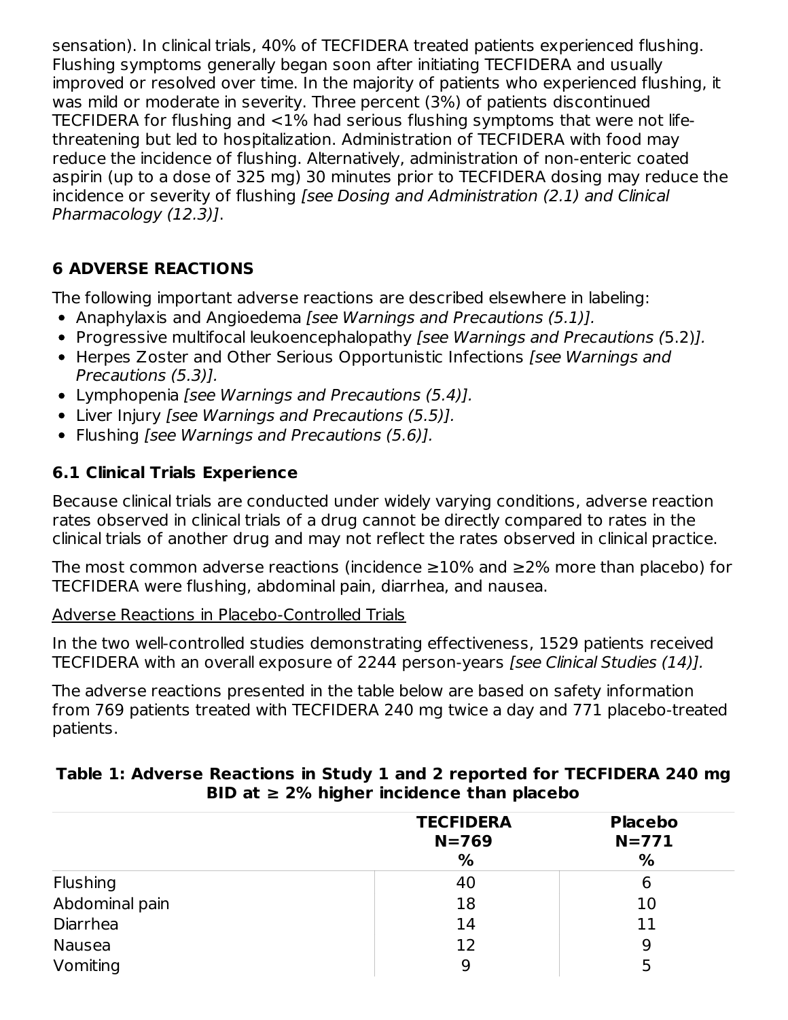sensation). In clinical trials, 40% of TECFIDERA treated patients experienced flushing. Flushing symptoms generally began soon after initiating TECFIDERA and usually improved or resolved over time. In the majority of patients who experienced flushing, it was mild or moderate in severity. Three percent (3%) of patients discontinued TECFIDERA for flushing and <1% had serious flushing symptoms that were not lifethreatening but led to hospitalization. Administration of TECFIDERA with food may reduce the incidence of flushing. Alternatively, administration of non-enteric coated aspirin (up to a dose of 325 mg) 30 minutes prior to TECFIDERA dosing may reduce the incidence or severity of flushing [see Dosing and Administration (2.1) and Clinical Pharmacology (12.3)].

# **6 ADVERSE REACTIONS**

The following important adverse reactions are described elsewhere in labeling:

- Anaphylaxis and Angioedema [see Warnings and Precautions (5.1)].
- Progressive multifocal leukoencephalopathy [see Warnings and Precautions (5.2)].
- Herpes Zoster and Other Serious Opportunistic Infections [see Warnings and Precautions (5.3)].
- Lymphopenia [see Warnings and Precautions (5.4)].
- Liver Injury [see Warnings and Precautions (5.5)].
- Flushing *[see Warnings and Precautions (5.6)]*.

# **6.1 Clinical Trials Experience**

Because clinical trials are conducted under widely varying conditions, adverse reaction rates observed in clinical trials of a drug cannot be directly compared to rates in the clinical trials of another drug and may not reflect the rates observed in clinical practice.

The most common adverse reactions (incidence  $\geq$ 10% and  $\geq$ 2% more than placebo) for TECFIDERA were flushing, abdominal pain, diarrhea, and nausea.

#### Adverse Reactions in Placebo-Controlled Trials

In the two well-controlled studies demonstrating effectiveness, 1529 patients received TECFIDERA with an overall exposure of 2244 person-years [see Clinical Studies (14)].

The adverse reactions presented in the table below are based on safety information from 769 patients treated with TECFIDERA 240 mg twice a day and 771 placebo-treated patients.

|                 | <b>TECFIDERA</b><br>$N = 769$ | <b>Placebo</b><br>$N = 771$ |
|-----------------|-------------------------------|-----------------------------|
|                 | %                             | %                           |
| <b>Flushing</b> | 40                            | 6                           |
| Abdominal pain  | 18                            | 10                          |
| Diarrhea        | 14                            | 11                          |
| <b>Nausea</b>   | 12                            | 9                           |
| Vomiting        | 9                             |                             |

### **Table 1: Adverse Reactions in Study 1 and 2 reported for TECFIDERA 240 mg BID at ≥ 2% higher incidence than placebo**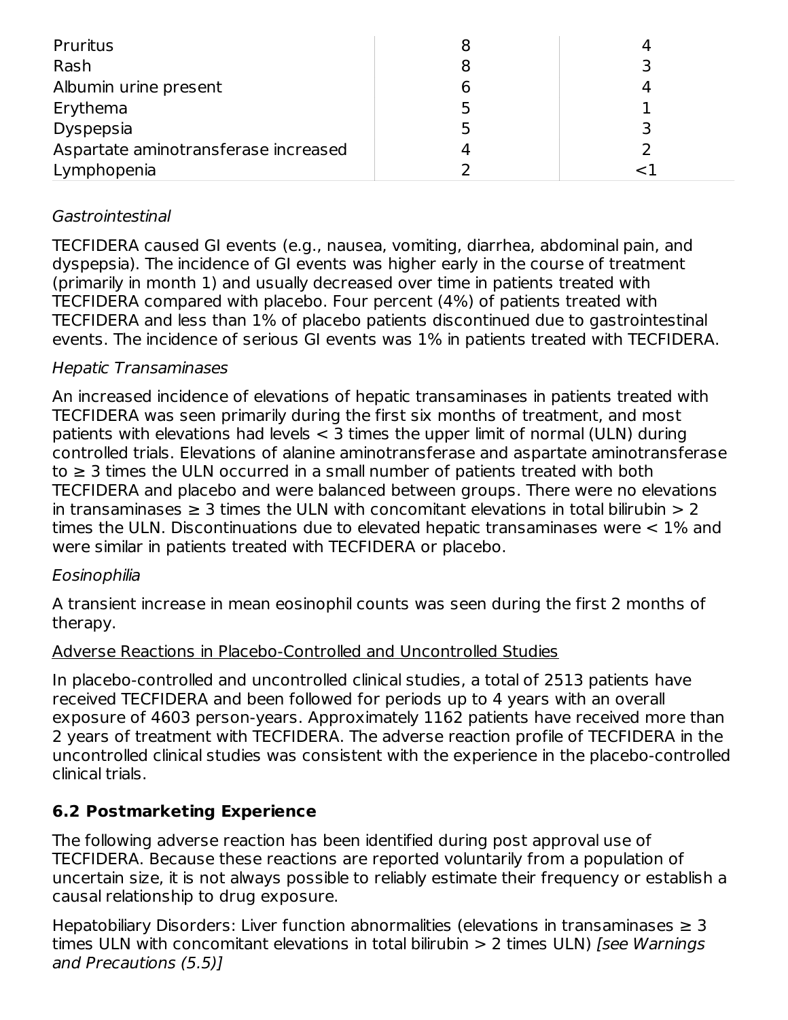| Pruritus                             |  |
|--------------------------------------|--|
| Rash                                 |  |
| Albumin urine present                |  |
| Erythema                             |  |
| Dyspepsia                            |  |
| Aspartate aminotransferase increased |  |
| Lymphopenia                          |  |

## Gastrointestinal

TECFIDERA caused GI events (e.g., nausea, vomiting, diarrhea, abdominal pain, and dyspepsia). The incidence of GI events was higher early in the course of treatment (primarily in month 1) and usually decreased over time in patients treated with TECFIDERA compared with placebo. Four percent (4%) of patients treated with TECFIDERA and less than 1% of placebo patients discontinued due to gastrointestinal events. The incidence of serious GI events was 1% in patients treated with TECFIDERA.

#### Hepatic Transaminases

An increased incidence of elevations of hepatic transaminases in patients treated with TECFIDERA was seen primarily during the first six months of treatment, and most patients with elevations had levels < 3 times the upper limit of normal (ULN) during controlled trials. Elevations of alanine aminotransferase and aspartate aminotransferase to  $\geq$  3 times the ULN occurred in a small number of patients treated with both TECFIDERA and placebo and were balanced between groups. There were no elevations in transaminases  $\geq 3$  times the ULN with concomitant elevations in total bilirubin  $> 2$ times the ULN. Discontinuations due to elevated hepatic transaminases were < 1% and were similar in patients treated with TECFIDERA or placebo.

#### Eosinophilia

A transient increase in mean eosinophil counts was seen during the first 2 months of therapy.

#### Adverse Reactions in Placebo-Controlled and Uncontrolled Studies

In placebo-controlled and uncontrolled clinical studies, a total of 2513 patients have received TECFIDERA and been followed for periods up to 4 years with an overall exposure of 4603 person-years. Approximately 1162 patients have received more than 2 years of treatment with TECFIDERA. The adverse reaction profile of TECFIDERA in the uncontrolled clinical studies was consistent with the experience in the placebo-controlled clinical trials.

## **6.2 Postmarketing Experience**

The following adverse reaction has been identified during post approval use of TECFIDERA. Because these reactions are reported voluntarily from a population of uncertain size, it is not always possible to reliably estimate their frequency or establish a causal relationship to drug exposure.

Hepatobiliary Disorders: Liver function abnormalities (elevations in transaminases  $\geq 3$ times ULN with concomitant elevations in total bilirubin  $> 2$  times ULN) [see Warnings] and Precautions (5.5)]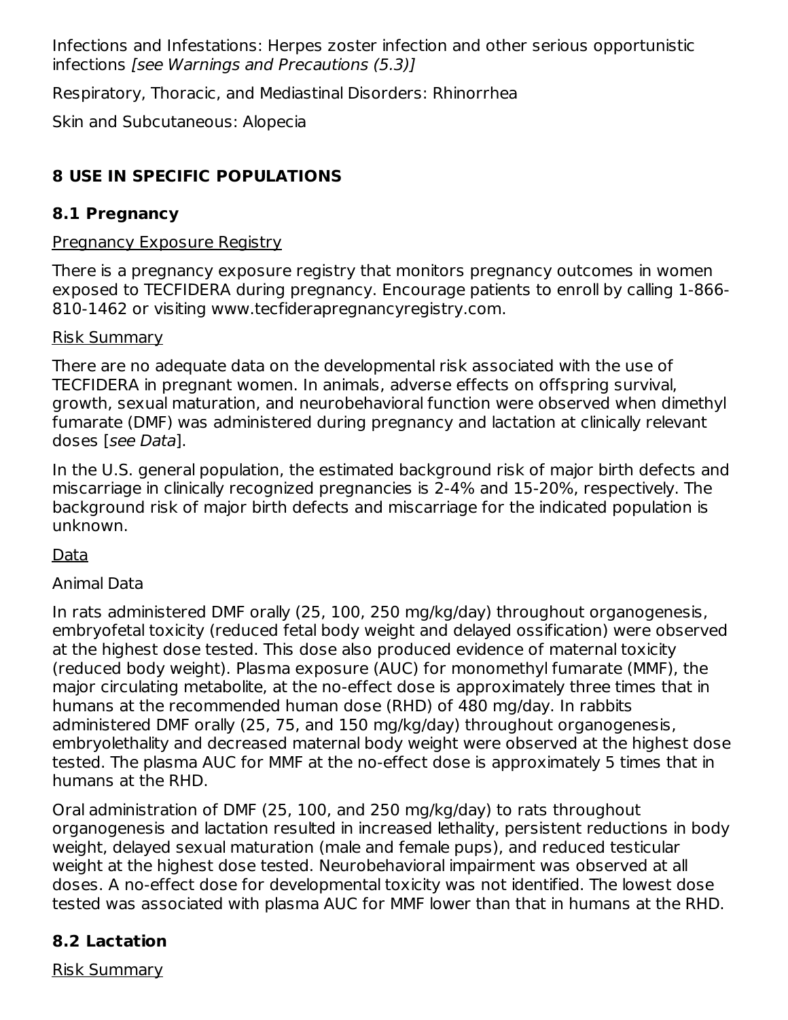Infections and Infestations: Herpes zoster infection and other serious opportunistic infections [see Warnings and Precautions (5.3)]

Respiratory, Thoracic, and Mediastinal Disorders: Rhinorrhea

Skin and Subcutaneous: Alopecia

# **8 USE IN SPECIFIC POPULATIONS**

# **8.1 Pregnancy**

# Pregnancy Exposure Registry

There is a pregnancy exposure registry that monitors pregnancy outcomes in women exposed to TECFIDERA during pregnancy. Encourage patients to enroll by calling 1-866- 810-1462 or visiting www.tecfiderapregnancyregistry.com.

## Risk Summary

There are no adequate data on the developmental risk associated with the use of TECFIDERA in pregnant women. In animals, adverse effects on offspring survival, growth, sexual maturation, and neurobehavioral function were observed when dimethyl fumarate (DMF) was administered during pregnancy and lactation at clinically relevant doses [see Data].

In the U.S. general population, the estimated background risk of major birth defects and miscarriage in clinically recognized pregnancies is 2-4% and 15-20%, respectively. The background risk of major birth defects and miscarriage for the indicated population is unknown.

Data

# Animal Data

In rats administered DMF orally (25, 100, 250 mg/kg/day) throughout organogenesis, embryofetal toxicity (reduced fetal body weight and delayed ossification) were observed at the highest dose tested. This dose also produced evidence of maternal toxicity (reduced body weight). Plasma exposure (AUC) for monomethyl fumarate (MMF), the major circulating metabolite, at the no-effect dose is approximately three times that in humans at the recommended human dose (RHD) of 480 mg/day. In rabbits administered DMF orally (25, 75, and 150 mg/kg/day) throughout organogenesis, embryolethality and decreased maternal body weight were observed at the highest dose tested. The plasma AUC for MMF at the no-effect dose is approximately 5 times that in humans at the RHD.

Oral administration of DMF (25, 100, and 250 mg/kg/day) to rats throughout organogenesis and lactation resulted in increased lethality, persistent reductions in body weight, delayed sexual maturation (male and female pups), and reduced testicular weight at the highest dose tested. Neurobehavioral impairment was observed at all doses. A no-effect dose for developmental toxicity was not identified. The lowest dose tested was associated with plasma AUC for MMF lower than that in humans at the RHD.

# **8.2 Lactation**

Risk Summary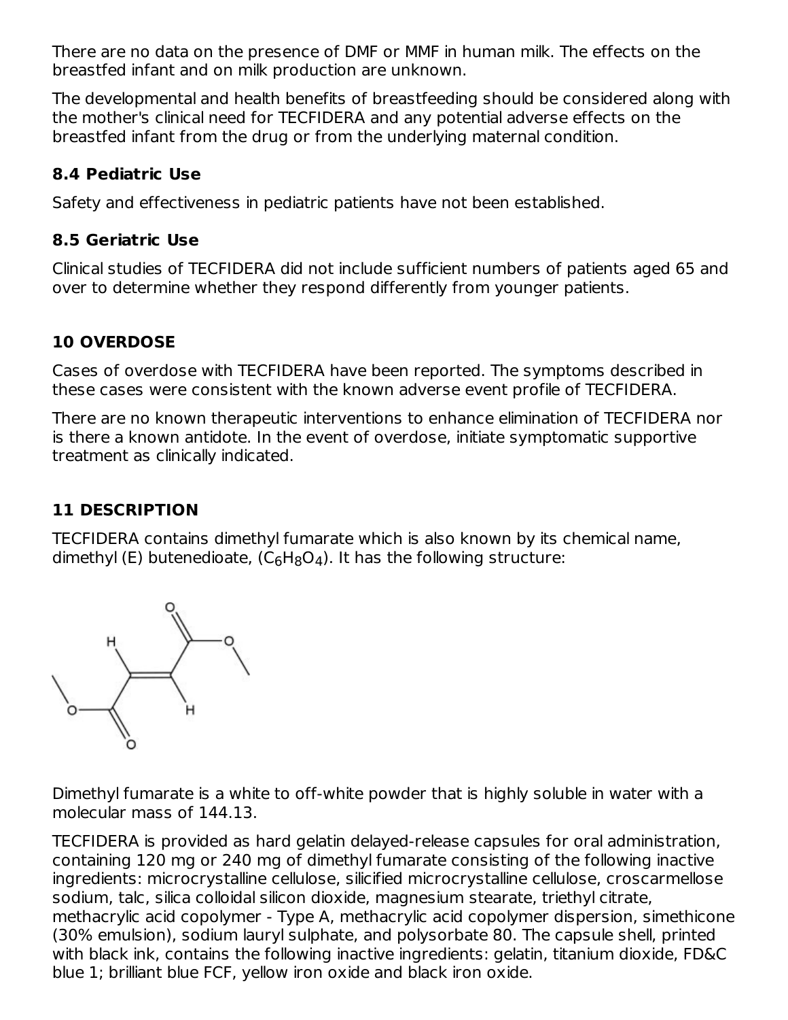There are no data on the presence of DMF or MMF in human milk. The effects on the breastfed infant and on milk production are unknown.

The developmental and health benefits of breastfeeding should be considered along with the mother's clinical need for TECFIDERA and any potential adverse effects on the breastfed infant from the drug or from the underlying maternal condition.

#### **8.4 Pediatric Use**

Safety and effectiveness in pediatric patients have not been established.

## **8.5 Geriatric Use**

Clinical studies of TECFIDERA did not include sufficient numbers of patients aged 65 and over to determine whether they respond differently from younger patients.

# **10 OVERDOSE**

Cases of overdose with TECFIDERA have been reported. The symptoms described in these cases were consistent with the known adverse event profile of TECFIDERA.

There are no known therapeutic interventions to enhance elimination of TECFIDERA nor is there a known antidote. In the event of overdose, initiate symptomatic supportive treatment as clinically indicated.

## **11 DESCRIPTION**

TECFIDERA contains dimethyl fumarate which is also known by its chemical name, dimethyl (E) butenedioate, (C $_6$ H $_8$ O $_4$ ). It has the following structure:



Dimethyl fumarate is a white to off-white powder that is highly soluble in water with a molecular mass of 144.13.

TECFIDERA is provided as hard gelatin delayed-release capsules for oral administration, containing 120 mg or 240 mg of dimethyl fumarate consisting of the following inactive ingredients: microcrystalline cellulose, silicified microcrystalline cellulose, croscarmellose sodium, talc, silica colloidal silicon dioxide, magnesium stearate, triethyl citrate, methacrylic acid copolymer - Type A, methacrylic acid copolymer dispersion, simethicone (30% emulsion), sodium lauryl sulphate, and polysorbate 80. The capsule shell, printed with black ink, contains the following inactive ingredients: gelatin, titanium dioxide, FD&C blue 1; brilliant blue FCF, yellow iron oxide and black iron oxide.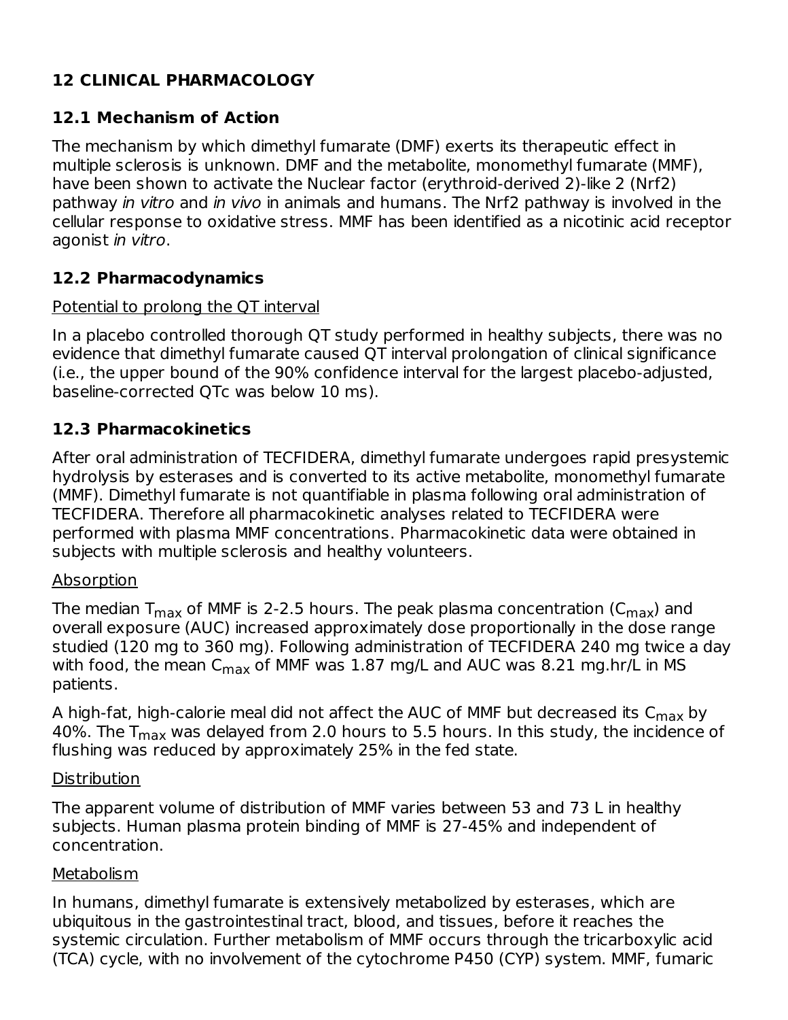# **12 CLINICAL PHARMACOLOGY**

### **12.1 Mechanism of Action**

The mechanism by which dimethyl fumarate (DMF) exerts its therapeutic effect in multiple sclerosis is unknown. DMF and the metabolite, monomethyl fumarate (MMF), have been shown to activate the Nuclear factor (erythroid-derived 2)-like 2 (Nrf2) pathway in vitro and in vivo in animals and humans. The Nrf2 pathway is involved in the cellular response to oxidative stress. MMF has been identified as a nicotinic acid receptor agonist in vitro.

## **12.2 Pharmacodynamics**

#### Potential to prolong the QT interval

In a placebo controlled thorough QT study performed in healthy subjects, there was no evidence that dimethyl fumarate caused QT interval prolongation of clinical significance (i.e., the upper bound of the 90% confidence interval for the largest placebo-adjusted, baseline-corrected QTc was below 10 ms).

#### **12.3 Pharmacokinetics**

After oral administration of TECFIDERA, dimethyl fumarate undergoes rapid presystemic hydrolysis by esterases and is converted to its active metabolite, monomethyl fumarate (MMF). Dimethyl fumarate is not quantifiable in plasma following oral administration of TECFIDERA. Therefore all pharmacokinetic analyses related to TECFIDERA were performed with plasma MMF concentrations. Pharmacokinetic data were obtained in subjects with multiple sclerosis and healthy volunteers.

#### Absorption

The median T $_{\sf max}$  of MMF is 2-2.5 hours. The peak plasma concentration (C $_{\sf max}$ ) and overall exposure (AUC) increased approximately dose proportionally in the dose range studied (120 mg to 360 mg). Following administration of TECFIDERA 240 mg twice a day with food, the mean  $\mathsf{C}_{\mathsf{max}}$  of MMF was  $1.87$  mg/L and AUC was  $8.21$  mg.hr/L in MS patients.

A high-fat, high-calorie meal did not affect the AUC of MMF but decreased its  $\mathsf{C}_{\mathsf{max}}$  by 40%. The T<sub>max</sub> was delayed from 2.0 hours to 5.5 hours. In this study, the incidence of flushing was reduced by approximately 25% in the fed state.

#### **Distribution**

The apparent volume of distribution of MMF varies between 53 and 73 L in healthy subjects. Human plasma protein binding of MMF is 27-45% and independent of concentration.

#### Metabolism

In humans, dimethyl fumarate is extensively metabolized by esterases, which are ubiquitous in the gastrointestinal tract, blood, and tissues, before it reaches the systemic circulation. Further metabolism of MMF occurs through the tricarboxylic acid (TCA) cycle, with no involvement of the cytochrome P450 (CYP) system. MMF, fumaric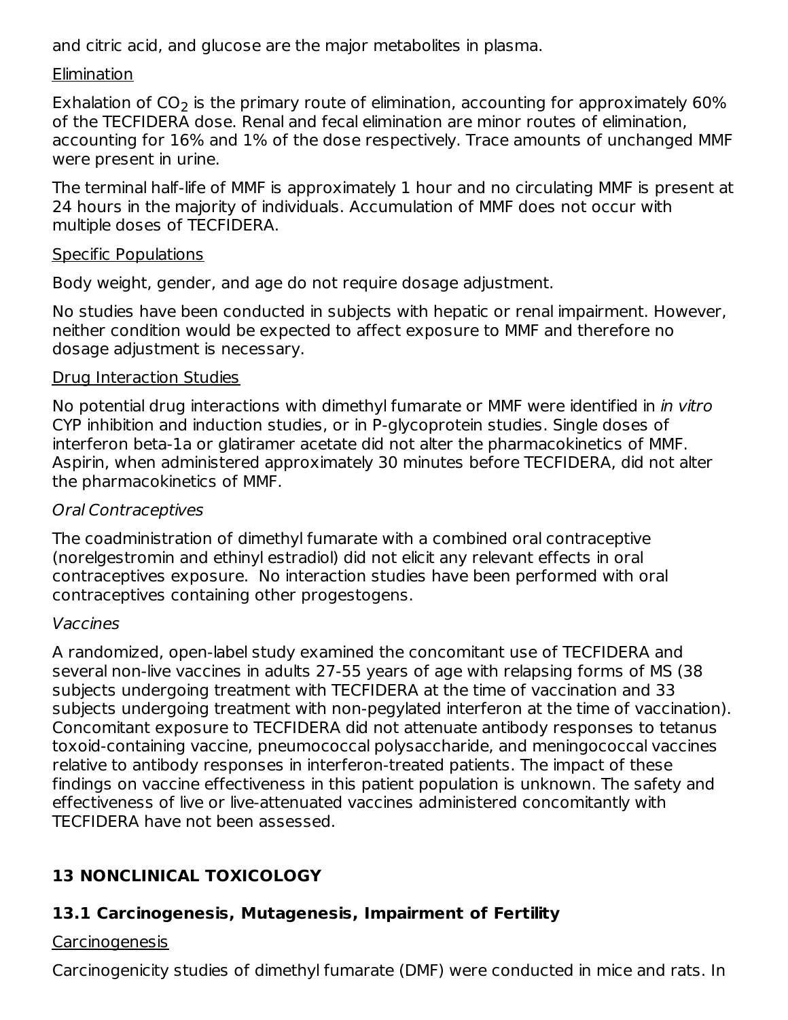and citric acid, and glucose are the major metabolites in plasma.

### Elimination

Exhalation of CO<sub>2</sub> is the primary route of elimination, accounting for approximately 60% of the TECFIDERA dose. Renal and fecal elimination are minor routes of elimination, accounting for 16% and 1% of the dose respectively. Trace amounts of unchanged MMF were present in urine.

The terminal half-life of MMF is approximately 1 hour and no circulating MMF is present at 24 hours in the majority of individuals. Accumulation of MMF does not occur with multiple doses of TECFIDERA.

### Specific Populations

Body weight, gender, and age do not require dosage adjustment.

No studies have been conducted in subjects with hepatic or renal impairment. However, neither condition would be expected to affect exposure to MMF and therefore no dosage adjustment is necessary.

## Drug Interaction Studies

No potential drug interactions with dimethyl fumarate or MMF were identified in in vitro CYP inhibition and induction studies, or in P-glycoprotein studies. Single doses of interferon beta-1a or glatiramer acetate did not alter the pharmacokinetics of MMF. Aspirin, when administered approximately 30 minutes before TECFIDERA, did not alter the pharmacokinetics of MMF.

## Oral Contraceptives

The coadministration of dimethyl fumarate with a combined oral contraceptive (norelgestromin and ethinyl estradiol) did not elicit any relevant effects in oral contraceptives exposure. No interaction studies have been performed with oral contraceptives containing other progestogens.

## Vaccines

A randomized, open-label study examined the concomitant use of TECFIDERA and several non-live vaccines in adults 27-55 years of age with relapsing forms of MS (38 subjects undergoing treatment with TECFIDERA at the time of vaccination and 33 subjects undergoing treatment with non-pegylated interferon at the time of vaccination). Concomitant exposure to TECFIDERA did not attenuate antibody responses to tetanus toxoid-containing vaccine, pneumococcal polysaccharide, and meningococcal vaccines relative to antibody responses in interferon-treated patients. The impact of these findings on vaccine effectiveness in this patient population is unknown. The safety and effectiveness of live or live-attenuated vaccines administered concomitantly with TECFIDERA have not been assessed.

# **13 NONCLINICAL TOXICOLOGY**

# **13.1 Carcinogenesis, Mutagenesis, Impairment of Fertility**

# Carcinogenesis

Carcinogenicity studies of dimethyl fumarate (DMF) were conducted in mice and rats. In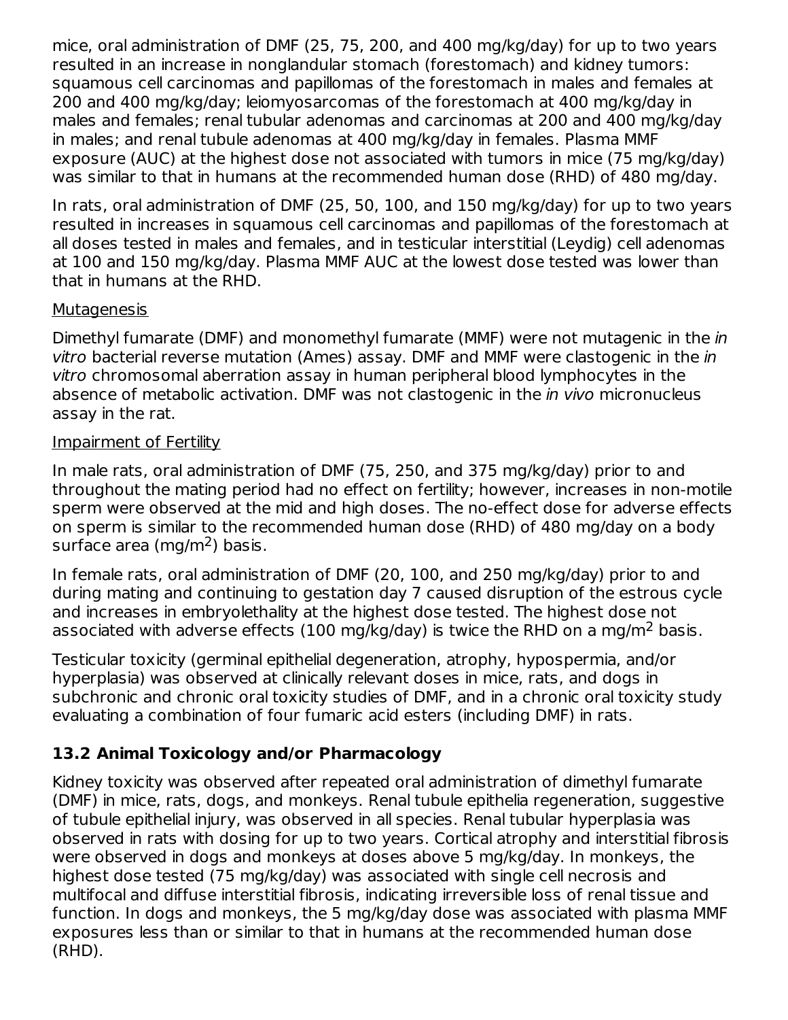mice, oral administration of DMF (25, 75, 200, and 400 mg/kg/day) for up to two years resulted in an increase in nonglandular stomach (forestomach) and kidney tumors: squamous cell carcinomas and papillomas of the forestomach in males and females at 200 and 400 mg/kg/day; leiomyosarcomas of the forestomach at 400 mg/kg/day in males and females; renal tubular adenomas and carcinomas at 200 and 400 mg/kg/day in males; and renal tubule adenomas at 400 mg/kg/day in females. Plasma MMF exposure (AUC) at the highest dose not associated with tumors in mice (75 mg/kg/day) was similar to that in humans at the recommended human dose (RHD) of 480 mg/day.

In rats, oral administration of DMF (25, 50, 100, and 150 mg/kg/day) for up to two years resulted in increases in squamous cell carcinomas and papillomas of the forestomach at all doses tested in males and females, and in testicular interstitial (Leydig) cell adenomas at 100 and 150 mg/kg/day. Plasma MMF AUC at the lowest dose tested was lower than that in humans at the RHD.

#### **Mutagenesis**

Dimethyl fumarate (DMF) and monomethyl fumarate (MMF) were not mutagenic in the in vitro bacterial reverse mutation (Ames) assay. DMF and MMF were clastogenic in the in vitro chromosomal aberration assay in human peripheral blood lymphocytes in the absence of metabolic activation. DMF was not clastogenic in the *in vivo* micronucleus assay in the rat.

#### Impairment of Fertility

In male rats, oral administration of DMF (75, 250, and 375 mg/kg/day) prior to and throughout the mating period had no effect on fertility; however, increases in non-motile sperm were observed at the mid and high doses. The no-effect dose for adverse effects on sperm is similar to the recommended human dose (RHD) of 480 mg/day on a body surface area (mg/m<sup>2</sup>) basis.

In female rats, oral administration of DMF (20, 100, and 250 mg/kg/day) prior to and during mating and continuing to gestation day 7 caused disruption of the estrous cycle and increases in embryolethality at the highest dose tested. The highest dose not associated with adverse effects (100 mg/kg/day) is twice the RHD on a mg/m<sup>2</sup> basis.

Testicular toxicity (germinal epithelial degeneration, atrophy, hypospermia, and/or hyperplasia) was observed at clinically relevant doses in mice, rats, and dogs in subchronic and chronic oral toxicity studies of DMF, and in a chronic oral toxicity study evaluating a combination of four fumaric acid esters (including DMF) in rats.

# **13.2 Animal Toxicology and/or Pharmacology**

Kidney toxicity was observed after repeated oral administration of dimethyl fumarate (DMF) in mice, rats, dogs, and monkeys. Renal tubule epithelia regeneration, suggestive of tubule epithelial injury, was observed in all species. Renal tubular hyperplasia was observed in rats with dosing for up to two years. Cortical atrophy and interstitial fibrosis were observed in dogs and monkeys at doses above 5 mg/kg/day. In monkeys, the highest dose tested (75 mg/kg/day) was associated with single cell necrosis and multifocal and diffuse interstitial fibrosis, indicating irreversible loss of renal tissue and function. In dogs and monkeys, the 5 mg/kg/day dose was associated with plasma MMF exposures less than or similar to that in humans at the recommended human dose (RHD).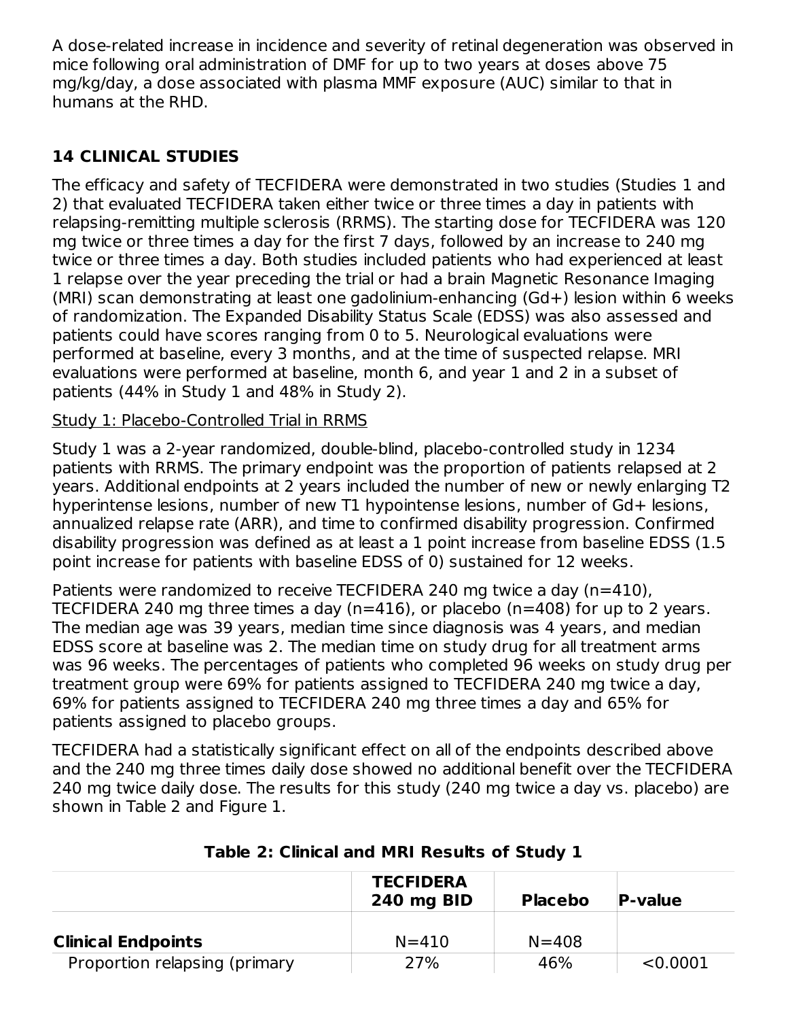A dose-related increase in incidence and severity of retinal degeneration was observed in mice following oral administration of DMF for up to two years at doses above 75 mg/kg/day, a dose associated with plasma MMF exposure (AUC) similar to that in humans at the RHD.

# **14 CLINICAL STUDIES**

The efficacy and safety of TECFIDERA were demonstrated in two studies (Studies 1 and 2) that evaluated TECFIDERA taken either twice or three times a day in patients with relapsing-remitting multiple sclerosis (RRMS). The starting dose for TECFIDERA was 120 mg twice or three times a day for the first 7 days, followed by an increase to 240 mg twice or three times a day. Both studies included patients who had experienced at least 1 relapse over the year preceding the trial or had a brain Magnetic Resonance Imaging (MRI) scan demonstrating at least one gadolinium-enhancing (Gd+) lesion within 6 weeks of randomization. The Expanded Disability Status Scale (EDSS) was also assessed and patients could have scores ranging from 0 to 5. Neurological evaluations were performed at baseline, every 3 months, and at the time of suspected relapse. MRI evaluations were performed at baseline, month 6, and year 1 and 2 in a subset of patients (44% in Study 1 and 48% in Study 2).

## Study 1: Placebo-Controlled Trial in RRMS

Study 1 was a 2-year randomized, double-blind, placebo-controlled study in 1234 patients with RRMS. The primary endpoint was the proportion of patients relapsed at 2 years. Additional endpoints at 2 years included the number of new or newly enlarging T2 hyperintense lesions, number of new T1 hypointense lesions, number of Gd+ lesions, annualized relapse rate (ARR), and time to confirmed disability progression. Confirmed disability progression was defined as at least a 1 point increase from baseline EDSS (1.5 point increase for patients with baseline EDSS of 0) sustained for 12 weeks.

Patients were randomized to receive TECFIDERA 240 mg twice a day (n=410). TECFIDERA 240 mg three times a day (n=416), or placebo (n=408) for up to 2 years. The median age was 39 years, median time since diagnosis was 4 years, and median EDSS score at baseline was 2. The median time on study drug for all treatment arms was 96 weeks. The percentages of patients who completed 96 weeks on study drug per treatment group were 69% for patients assigned to TECFIDERA 240 mg twice a day, 69% for patients assigned to TECFIDERA 240 mg three times a day and 65% for patients assigned to placebo groups.

TECFIDERA had a statistically significant effect on all of the endpoints described above and the 240 mg three times daily dose showed no additional benefit over the TECFIDERA 240 mg twice daily dose. The results for this study (240 mg twice a day vs. placebo) are shown in Table 2 and Figure 1.

|                               | <b>TECFIDERA</b><br>240 mg BID | <b>Placebo</b> | <b>P-value</b> |
|-------------------------------|--------------------------------|----------------|----------------|
| <b>Clinical Endpoints</b>     | $N = 410$                      | $N = 408$      |                |
| Proportion relapsing (primary | 27%                            | 46%            | < 0.0001       |

## **Table 2: Clinical and MRI Results of Study 1**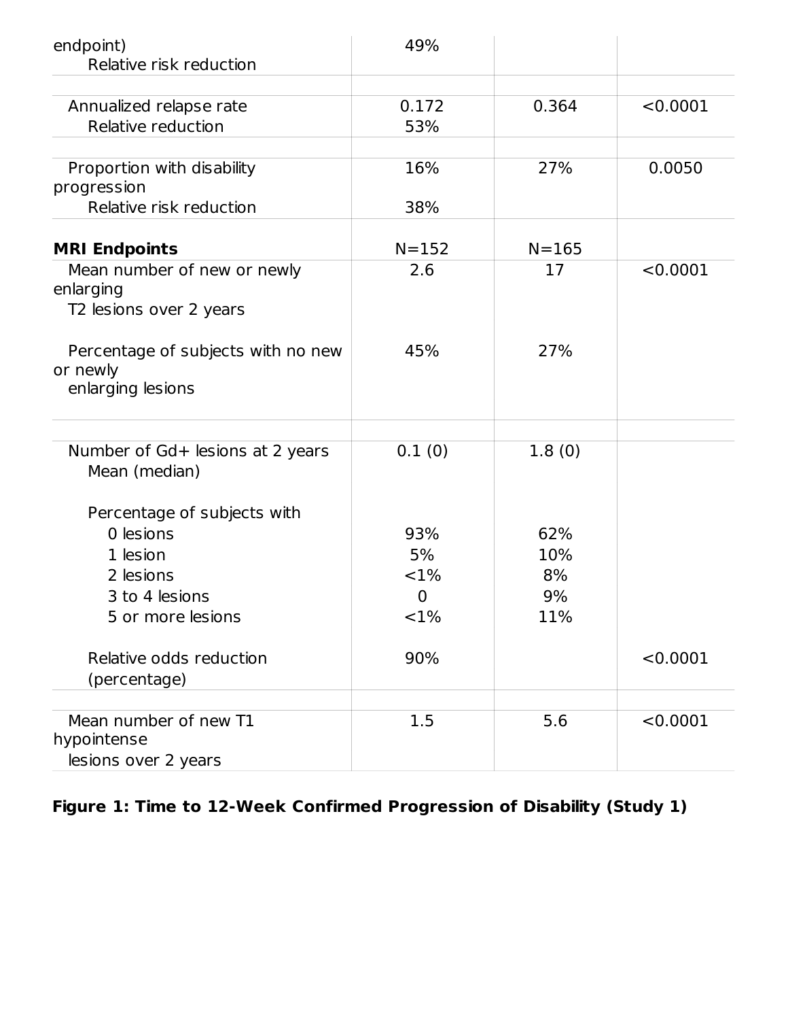| endpoint)<br>Relative risk reduction                                | 49%            |           |          |
|---------------------------------------------------------------------|----------------|-----------|----------|
|                                                                     |                |           |          |
| Annualized relapse rate                                             | 0.172          | 0.364     | < 0.0001 |
| Relative reduction                                                  | 53%            |           |          |
| Proportion with disability<br>progression                           | 16%            | 27%       | 0.0050   |
| Relative risk reduction                                             | 38%            |           |          |
| <b>MRI Endpoints</b>                                                | $N = 152$      | $N = 165$ |          |
| Mean number of new or newly<br>enlarging<br>T2 lesions over 2 years | 2.6            | 17        | < 0.0001 |
| Percentage of subjects with no new<br>or newly<br>enlarging lesions | 45%            | 27%       |          |
|                                                                     |                |           |          |
| Number of Gd+ lesions at 2 years<br>Mean (median)                   | 0.1(0)         | 1.8(0)    |          |
| Percentage of subjects with                                         |                |           |          |
| 0 lesions                                                           | 93%            | 62%       |          |
| 1 lesion                                                            | 5%             | 10%       |          |
| 2 lesions                                                           | <1%            | 8%        |          |
| 3 to 4 lesions                                                      | $\overline{0}$ | 9%        |          |
| 5 or more lesions                                                   | <1%            | 11%       |          |
| Relative odds reduction<br>(percentage)                             | 90%            |           | < 0.0001 |
|                                                                     |                |           |          |
| Mean number of new T1<br>hypointense<br>lesions over 2 years        | 1.5            | 5.6       | < 0.0001 |

# **Figure 1: Time to 12-Week Confirmed Progression of Disability (Study 1)**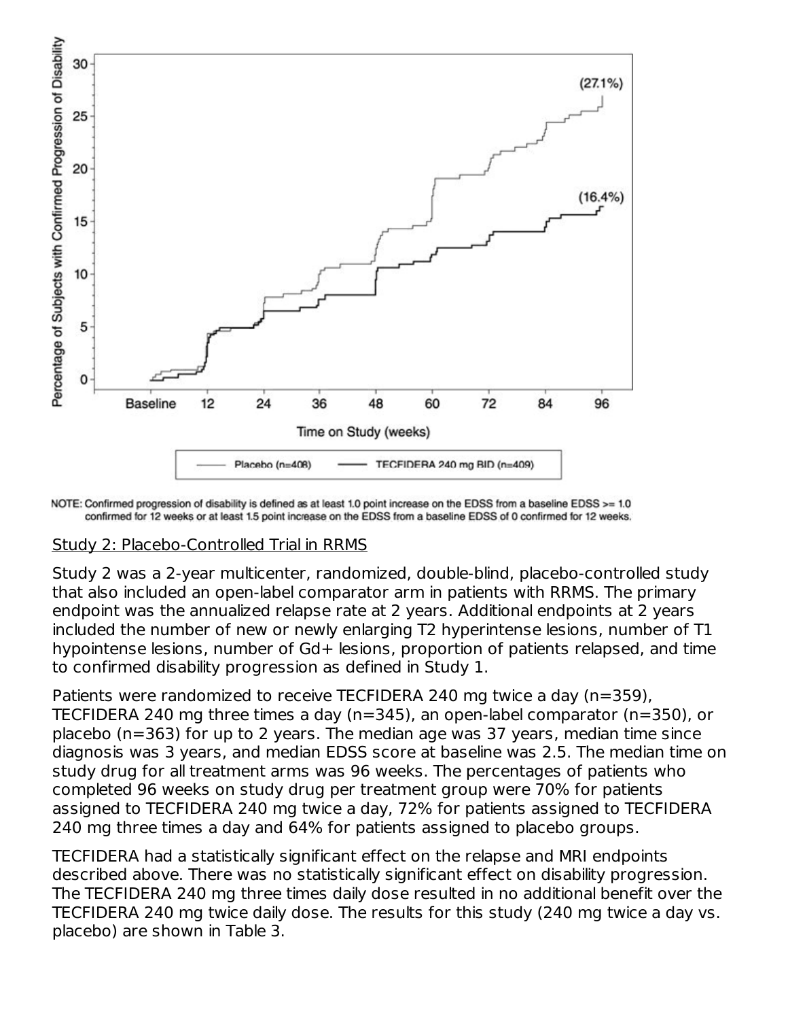

NOTE: Confirmed progression of disability is defined as at least 1.0 point increase on the EDSS from a baseline EDSS >= 1.0 confirmed for 12 weeks or at least 1.5 point increase on the EDSS from a baseline EDSS of 0 confirmed for 12 weeks.

#### Study 2: Placebo-Controlled Trial in RRMS

Study 2 was a 2-year multicenter, randomized, double-blind, placebo-controlled study that also included an open-label comparator arm in patients with RRMS. The primary endpoint was the annualized relapse rate at 2 years. Additional endpoints at 2 years included the number of new or newly enlarging T2 hyperintense lesions, number of T1 hypointense lesions, number of Gd+ lesions, proportion of patients relapsed, and time to confirmed disability progression as defined in Study 1.

Patients were randomized to receive TECFIDERA 240 mg twice a day (n=359), TECFIDERA 240 mg three times a day (n=345), an open-label comparator (n=350), or placebo (n=363) for up to 2 years. The median age was 37 years, median time since diagnosis was 3 years, and median EDSS score at baseline was 2.5. The median time on study drug for all treatment arms was 96 weeks. The percentages of patients who completed 96 weeks on study drug per treatment group were 70% for patients assigned to TECFIDERA 240 mg twice a day, 72% for patients assigned to TECFIDERA 240 mg three times a day and 64% for patients assigned to placebo groups.

TECFIDERA had a statistically significant effect on the relapse and MRI endpoints described above. There was no statistically significant effect on disability progression. The TECFIDERA 240 mg three times daily dose resulted in no additional benefit over the TECFIDERA 240 mg twice daily dose. The results for this study (240 mg twice a day vs. placebo) are shown in Table 3.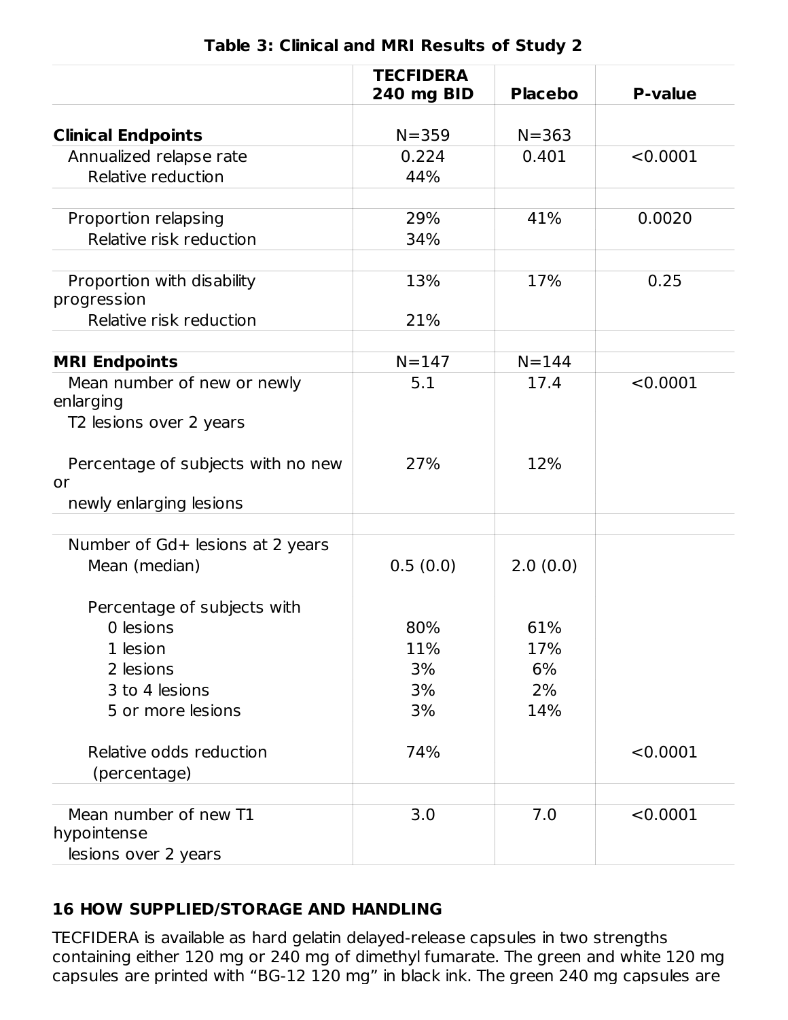|                                                              | <b>TECFIDERA</b><br>240 mg BID | <b>Placebo</b> | <b>P-value</b> |
|--------------------------------------------------------------|--------------------------------|----------------|----------------|
|                                                              |                                |                |                |
| <b>Clinical Endpoints</b>                                    | $N = 359$                      | $N = 363$      |                |
| Annualized relapse rate                                      | 0.224                          | 0.401          | < 0.0001       |
| Relative reduction                                           | 44%                            |                |                |
| Proportion relapsing                                         | 29%                            | 41%            | 0.0020         |
| Relative risk reduction                                      | 34%                            |                |                |
| Proportion with disability<br>progression                    | 13%                            | 17%            | 0.25           |
| Relative risk reduction                                      | 21%                            |                |                |
|                                                              |                                |                |                |
| <b>MRI Endpoints</b>                                         | $N = 147$                      | $N = 144$      |                |
| Mean number of new or newly<br>enlarging                     | 5.1                            | 17.4           | < 0.0001       |
| T2 lesions over 2 years                                      |                                |                |                |
| Percentage of subjects with no new<br>or                     | 27%                            | 12%            |                |
| newly enlarging lesions                                      |                                |                |                |
| Number of Gd+ lesions at 2 years                             |                                |                |                |
| Mean (median)                                                | 0.5(0.0)                       | 2.0(0.0)       |                |
| Percentage of subjects with                                  |                                |                |                |
| 0 lesions                                                    | 80%                            | 61%            |                |
| 1 lesion                                                     | 11%                            | 17%            |                |
| 2 lesions                                                    | 3%                             | 6%             |                |
| 3 to 4 lesions                                               | 3%                             | 2%             |                |
| 5 or more lesions                                            | 3%                             | 14%            |                |
| Relative odds reduction<br>(percentage)                      | 74%                            |                | < 0.0001       |
|                                                              |                                |                |                |
| Mean number of new T1<br>hypointense<br>lesions over 2 years | 3.0                            | 7.0            | < 0.0001       |

#### **Table 3: Clinical and MRI Results of Study 2**

#### **16 HOW SUPPLIED/STORAGE AND HANDLING**

TECFIDERA is available as hard gelatin delayed-release capsules in two strengths containing either 120 mg or 240 mg of dimethyl fumarate. The green and white 120 mg capsules are printed with "BG-12 120 mg" in black ink. The green 240 mg capsules are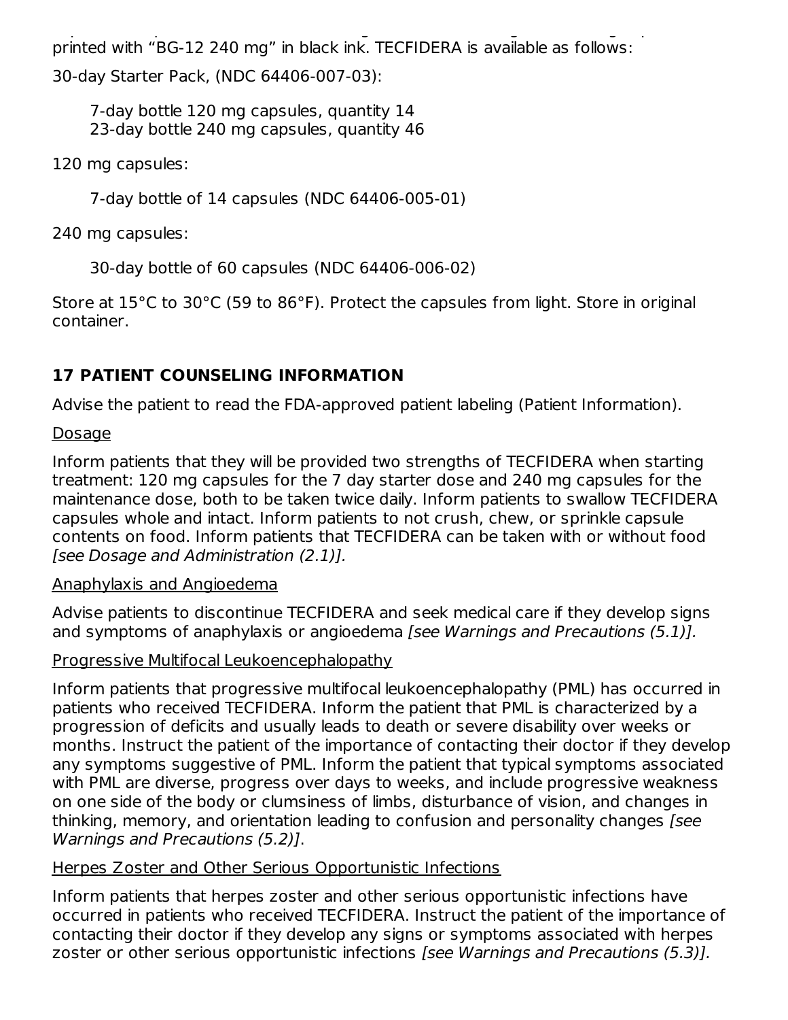capsules are printed with "BG-12 120 mg" in black ink. The green 240 mg capsules are printed with "BG-12 240 mg" in black ink. TECFIDERA is available as follows:

30-day Starter Pack, (NDC 64406-007-03):

7-day bottle 120 mg capsules, quantity 14 23-day bottle 240 mg capsules, quantity 46

120 mg capsules:

7-day bottle of 14 capsules (NDC 64406-005-01)

240 mg capsules:

30-day bottle of 60 capsules (NDC 64406-006-02)

Store at 15°C to 30°C (59 to 86°F). Protect the capsules from light. Store in original container.

# **17 PATIENT COUNSELING INFORMATION**

Advise the patient to read the FDA-approved patient labeling (Patient Information).

# Dosage

Inform patients that they will be provided two strengths of TECFIDERA when starting treatment: 120 mg capsules for the 7 day starter dose and 240 mg capsules for the maintenance dose, both to be taken twice daily. Inform patients to swallow TECFIDERA capsules whole and intact. Inform patients to not crush, chew, or sprinkle capsule contents on food. Inform patients that TECFIDERA can be taken with or without food [see Dosage and Administration (2.1)].

# Anaphylaxis and Angioedema

Advise patients to discontinue TECFIDERA and seek medical care if they develop signs and symptoms of anaphylaxis or angioedema [see Warnings and Precautions (5.1)].

Progressive Multifocal Leukoencephalopathy

Inform patients that progressive multifocal leukoencephalopathy (PML) has occurred in patients who received TECFIDERA. Inform the patient that PML is characterized by a progression of deficits and usually leads to death or severe disability over weeks or months. Instruct the patient of the importance of contacting their doctor if they develop any symptoms suggestive of PML. Inform the patient that typical symptoms associated with PML are diverse, progress over days to weeks, and include progressive weakness on one side of the body or clumsiness of limbs, disturbance of vision, and changes in thinking, memory, and orientation leading to confusion and personality changes [see Warnings and Precautions (5.2)].

# Herpes Zoster and Other Serious Opportunistic Infections

Inform patients that herpes zoster and other serious opportunistic infections have occurred in patients who received TECFIDERA. Instruct the patient of the importance of contacting their doctor if they develop any signs or symptoms associated with herpes zoster or other serious opportunistic infections [see Warnings and Precautions (5.3)].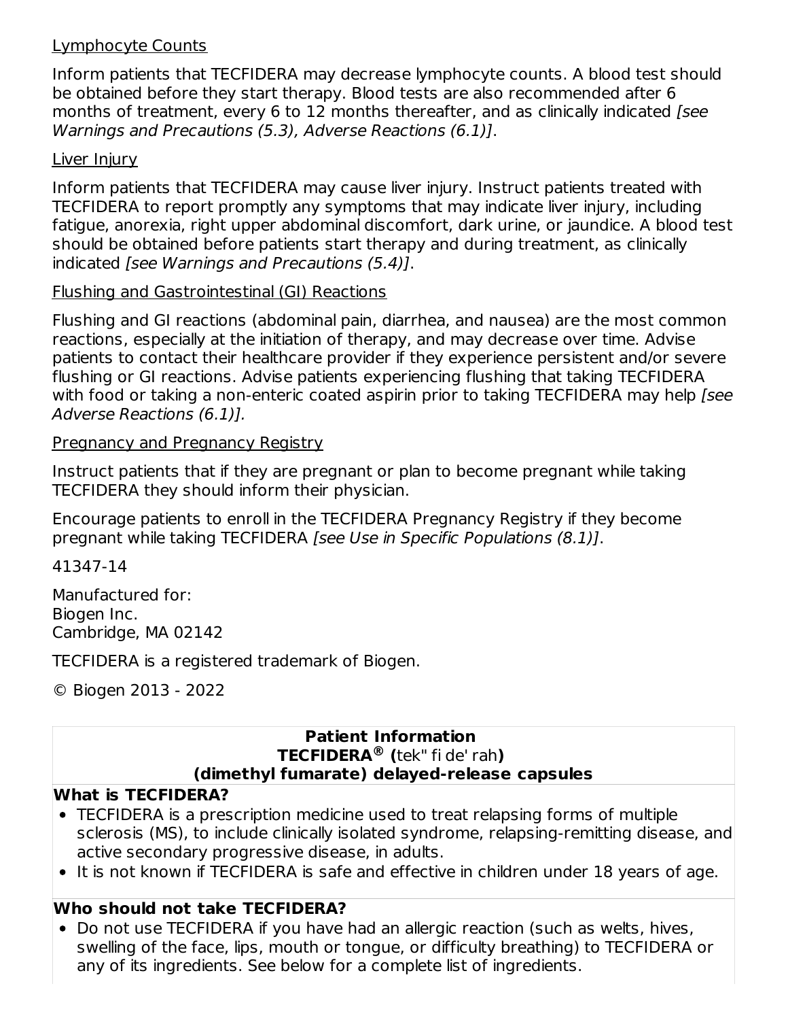#### Lymphocyte Counts

Inform patients that TECFIDERA may decrease lymphocyte counts. A blood test should be obtained before they start therapy. Blood tests are also recommended after 6 months of treatment, every 6 to 12 months thereafter, and as clinically indicated [see Warnings and Precautions (5.3), Adverse Reactions (6.1)].

#### Liver Injury

Inform patients that TECFIDERA may cause liver injury. Instruct patients treated with TECFIDERA to report promptly any symptoms that may indicate liver injury, including fatigue, anorexia, right upper abdominal discomfort, dark urine, or jaundice. A blood test should be obtained before patients start therapy and during treatment, as clinically indicated [see Warnings and Precautions (5.4)].

## Flushing and Gastrointestinal (GI) Reactions

Flushing and GI reactions (abdominal pain, diarrhea, and nausea) are the most common reactions, especially at the initiation of therapy, and may decrease over time. Advise patients to contact their healthcare provider if they experience persistent and/or severe flushing or GI reactions. Advise patients experiencing flushing that taking TECFIDERA with food or taking a non-enteric coated aspirin prior to taking TECFIDERA may help [see Adverse Reactions (6.1)].

#### Pregnancy and Pregnancy Registry

Instruct patients that if they are pregnant or plan to become pregnant while taking TECFIDERA they should inform their physician.

Encourage patients to enroll in the TECFIDERA Pregnancy Registry if they become pregnant while taking TECFIDERA [see Use in Specific Populations (8.1)].

41347-14

Manufactured for: Biogen Inc. Cambridge, MA 02142

TECFIDERA is a registered trademark of Biogen.

© Biogen 2013 - 2022

#### **Patient Information TECFIDERA (**tek" fi de' rah**) ®(dimethyl fumarate) delayed-release capsules**

#### **What is TECFIDERA?**

- TECFIDERA is a prescription medicine used to treat relapsing forms of multiple sclerosis (MS), to include clinically isolated syndrome, relapsing-remitting disease, and active secondary progressive disease, in adults.
- It is not known if TECFIDERA is safe and effective in children under 18 years of age.

# **Who should not take TECFIDERA?**

• Do not use TECFIDERA if you have had an allergic reaction (such as welts, hives, swelling of the face, lips, mouth or tongue, or difficulty breathing) to TECFIDERA or any of its ingredients. See below for a complete list of ingredients.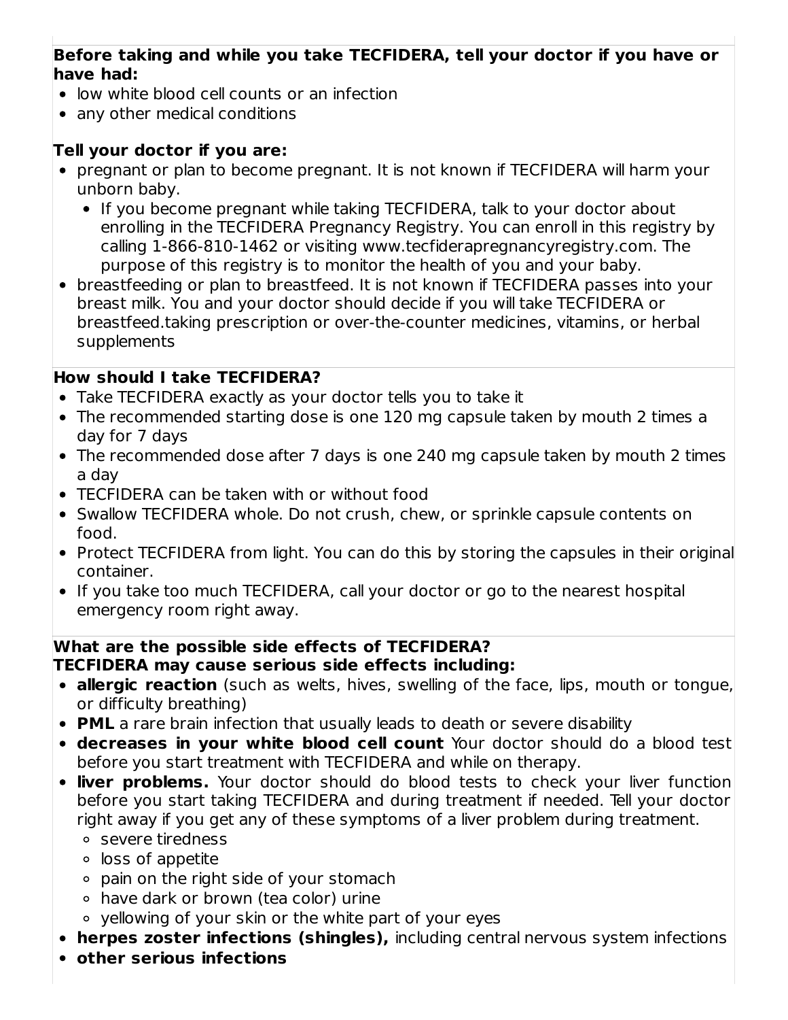### **Before taking and while you take TECFIDERA, tell your doctor if you have or have had:**

- low white blood cell counts or an infection
- any other medical conditions

## **Tell your doctor if you are:**

- pregnant or plan to become pregnant. It is not known if TECFIDERA will harm your unborn baby.
	- If you become pregnant while taking TECFIDERA, talk to your doctor about enrolling in the TECFIDERA Pregnancy Registry. You can enroll in this registry by calling 1-866-810-1462 or visiting www.tecfiderapregnancyregistry.com. The purpose of this registry is to monitor the health of you and your baby.
- breastfeeding or plan to breastfeed. It is not known if TECFIDERA passes into your breast milk. You and your doctor should decide if you will take TECFIDERA or breastfeed.taking prescription or over-the-counter medicines, vitamins, or herbal supplements

## **How should I take TECFIDERA?**

- Take TECFIDERA exactly as your doctor tells you to take it
- The recommended starting dose is one 120 mg capsule taken by mouth 2 times a day for 7 days
- The recommended dose after 7 days is one 240 mg capsule taken by mouth 2 times a day
- TECFIDERA can be taken with or without food
- Swallow TECFIDERA whole. Do not crush, chew, or sprinkle capsule contents on food.
- Protect TECFIDERA from light. You can do this by storing the capsules in their original container.
- If you take too much TECFIDERA, call your doctor or go to the nearest hospital emergency room right away.

#### **What are the possible side effects of TECFIDERA? TECFIDERA may cause serious side effects including:**

- **allergic reaction** (such as welts, hives, swelling of the face, lips, mouth or tongue, or difficulty breathing)
- **PML** a rare brain infection that usually leads to death or severe disability
- **decreases in your white blood cell count** Your doctor should do a blood test before you start treatment with TECFIDERA and while on therapy.
- **liver problems.** Your doctor should do blood tests to check your liver function before you start taking TECFIDERA and during treatment if needed. Tell your doctor right away if you get any of these symptoms of a liver problem during treatment.
	- severe tiredness
	- loss of appetite
	- pain on the right side of your stomach
	- have dark or brown (tea color) urine
	- yellowing of your skin or the white part of your eyes
- **herpes zoster infections (shingles),** including central nervous system infections
- **other serious infections**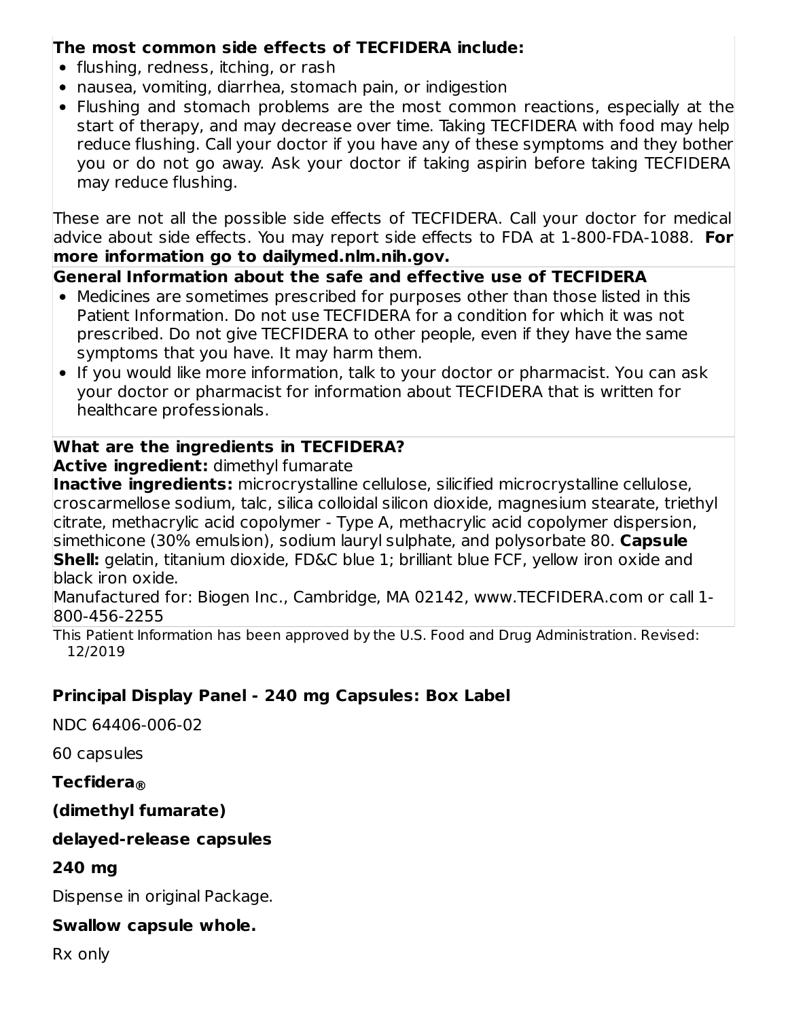## **The most common side effects of TECFIDERA include:**

- flushing, redness, itching, or rash
- nausea, vomiting, diarrhea, stomach pain, or indigestion
- Flushing and stomach problems are the most common reactions, especially at the start of therapy, and may decrease over time. Taking TECFIDERA with food may help reduce flushing. Call your doctor if you have any of these symptoms and they bother you or do not go away. Ask your doctor if taking aspirin before taking TECFIDERA may reduce flushing.

These are not all the possible side effects of TECFIDERA. Call your doctor for medical advice about side effects. You may report side effects to FDA at 1-800-FDA-1088. **For more information go to dailymed.nlm.nih.gov.**

### **General Information about the safe and effective use of TECFIDERA**

- Medicines are sometimes prescribed for purposes other than those listed in this Patient Information. Do not use TECFIDERA for a condition for which it was not prescribed. Do not give TECFIDERA to other people, even if they have the same symptoms that you have. It may harm them.
- If you would like more information, talk to your doctor or pharmacist. You can ask your doctor or pharmacist for information about TECFIDERA that is written for healthcare professionals.

### **What are the ingredients in TECFIDERA?**

**Active ingredient:** dimethyl fumarate

**Inactive ingredients:** microcrystalline cellulose, silicified microcrystalline cellulose,  $\,$ croscarmellose sodium, talc, silica colloidal silicon dioxide, magnesium stearate, triethyl citrate, methacrylic acid copolymer - Type A, methacrylic acid copolymer dispersion, simethicone (30% emulsion), sodium lauryl sulphate, and polysorbate 80. **Capsule Shell:** gelatin, titanium dioxide, FD&C blue 1; brilliant blue FCF, yellow iron oxide and black iron oxide.

Manufactured for: Biogen Inc., Cambridge, MA 02142, www.TECFIDERA.com or call 1- 800-456-2255

This Patient Information has been approved by the U.S. Food and Drug Administration. Revised: 12/2019

## **Principal Display Panel - 240 mg Capsules: Box Label**

NDC 64406-006-02

60 capsules

## **Tecfidera ®**

## **(dimethyl fumarate)**

#### **delayed-release capsules**

#### **240 mg**

Dispense in original Package.

#### **Swallow capsule whole.**

Rx only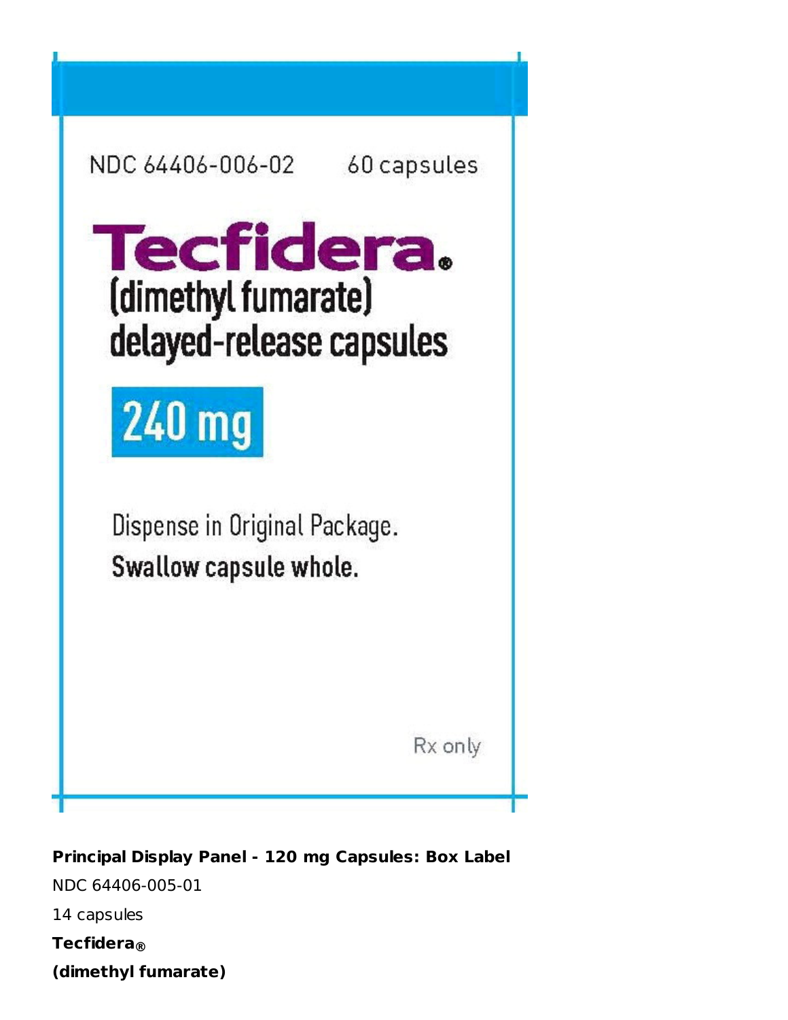| NDC 64406-006-02                                                     | 60 capsules |
|----------------------------------------------------------------------|-------------|
| <b>Tecfidera.</b><br>(dimethyl fumarate)<br>delayed-release capsules |             |
| <b>240 mg</b>                                                        |             |
| Dispense in Original Package.<br>Swallow capsule whole.              |             |
|                                                                      | Rx only     |

**Principal Display Panel - 120 mg Capsules: Box Label** NDC 64406-005-01 14 capsules **Tecfidera ®(dimethyl fumarate)**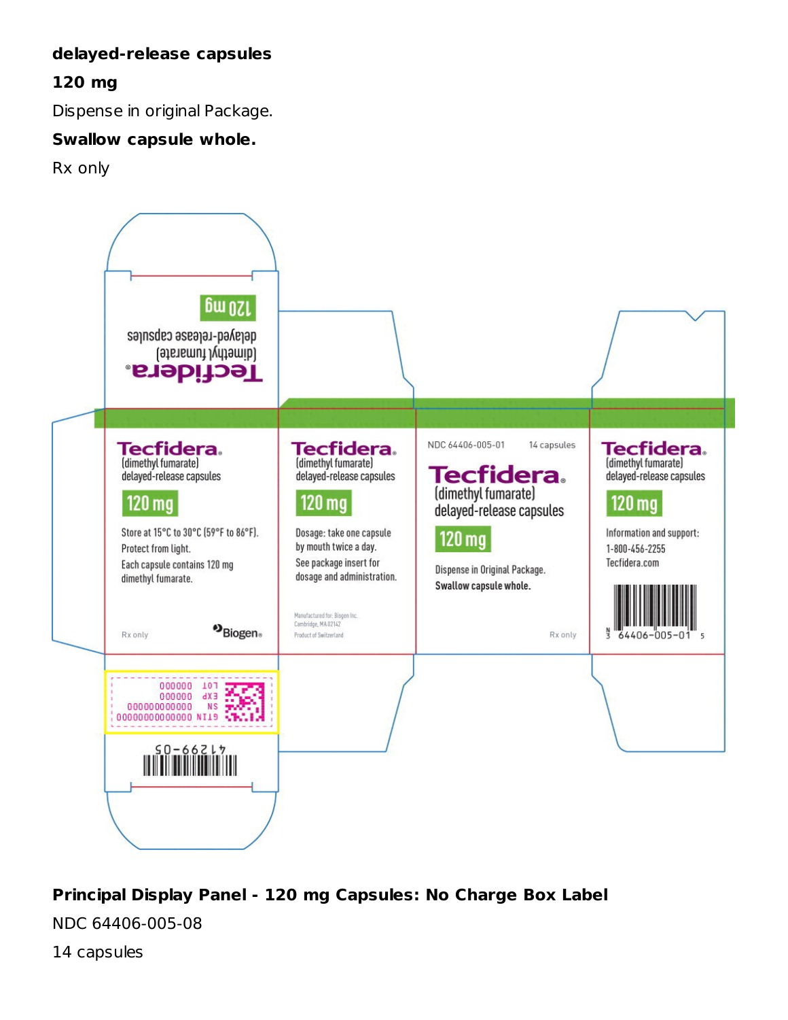## **delayed-release capsules**

## **120 mg**

Dispense in original Package.

#### **Swallow capsule whole.**

Rx only



# **Principal Display Panel - 120 mg Capsules: No Charge Box Label**

NDC 64406-005-08

14 capsules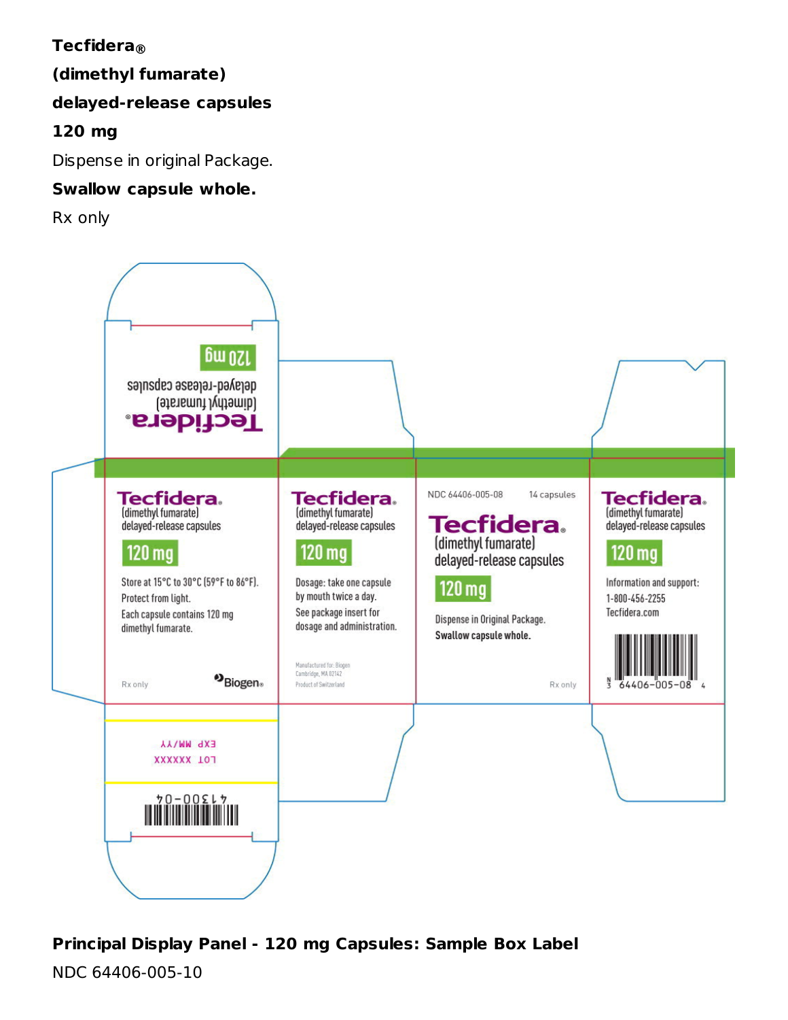# **Tecfidera ®**

**(dimethyl fumarate)**

## **delayed-release capsules**

**120 mg**

Dispense in original Package.

## **Swallow capsule whole.**

Rx only



# **Principal Display Panel - 120 mg Capsules: Sample Box Label**

NDC 64406-005-10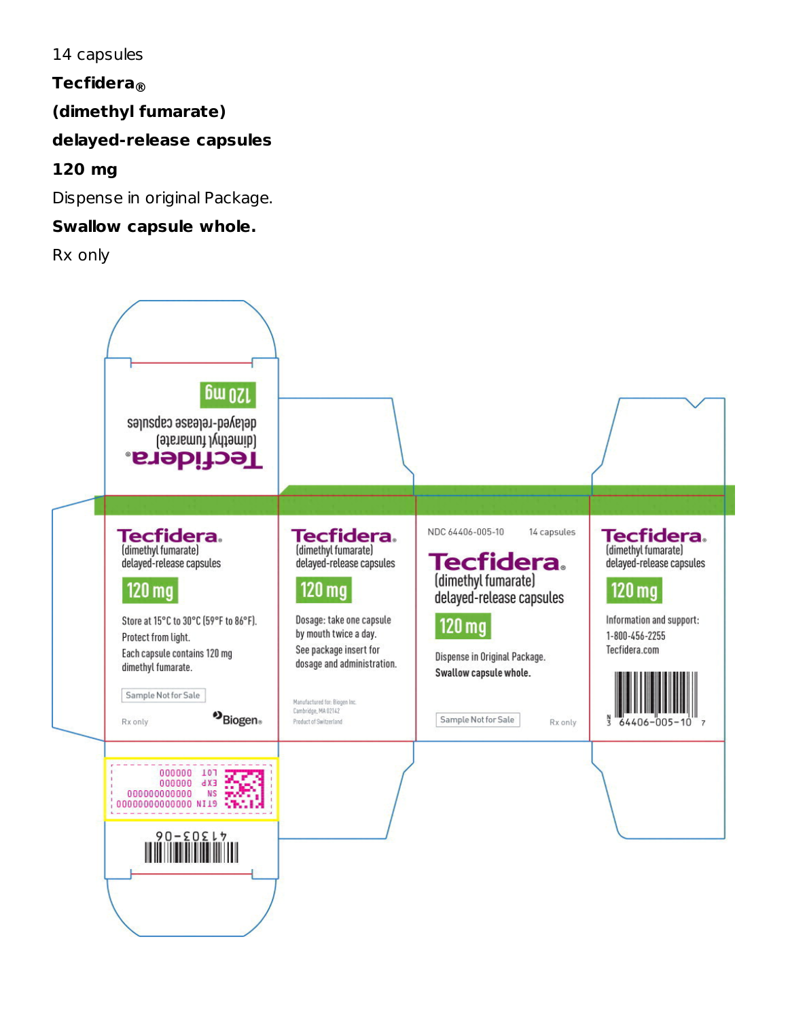14 capsules

**Tecfidera ®**

# **(dimethyl fumarate)**

## **delayed-release capsules**

# **120 mg**

Dispense in original Package.

## **Swallow capsule whole.**

Rx only

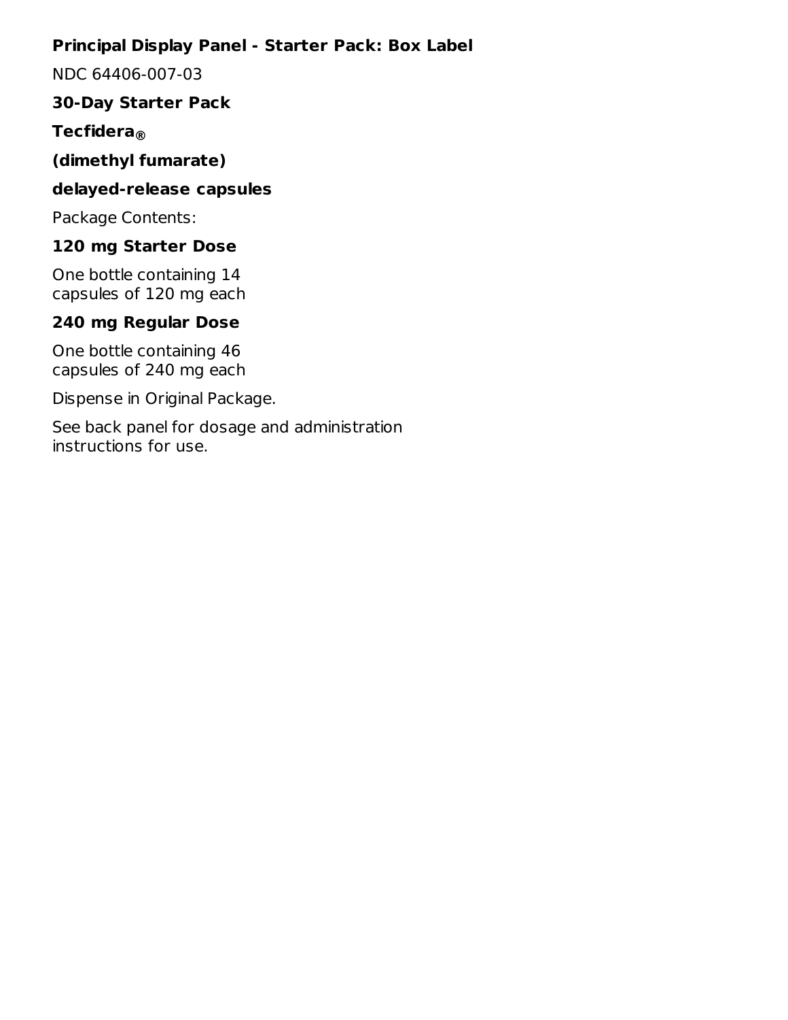## **Principal Display Panel - Starter Pack: Box Label**

NDC 64406-007-03

## **30-Day Starter Pack**

# **Tecfidera ®**

## **(dimethyl fumarate)**

#### **delayed-release capsules**

Package Contents:

# **120 mg Starter Dose**

One bottle containing 14 capsules of 120 mg each

# **240 mg Regular Dose**

One bottle containing 46 capsules of 240 mg each

Dispense in Original Package.

See back panel for dosage and administration instructions for use.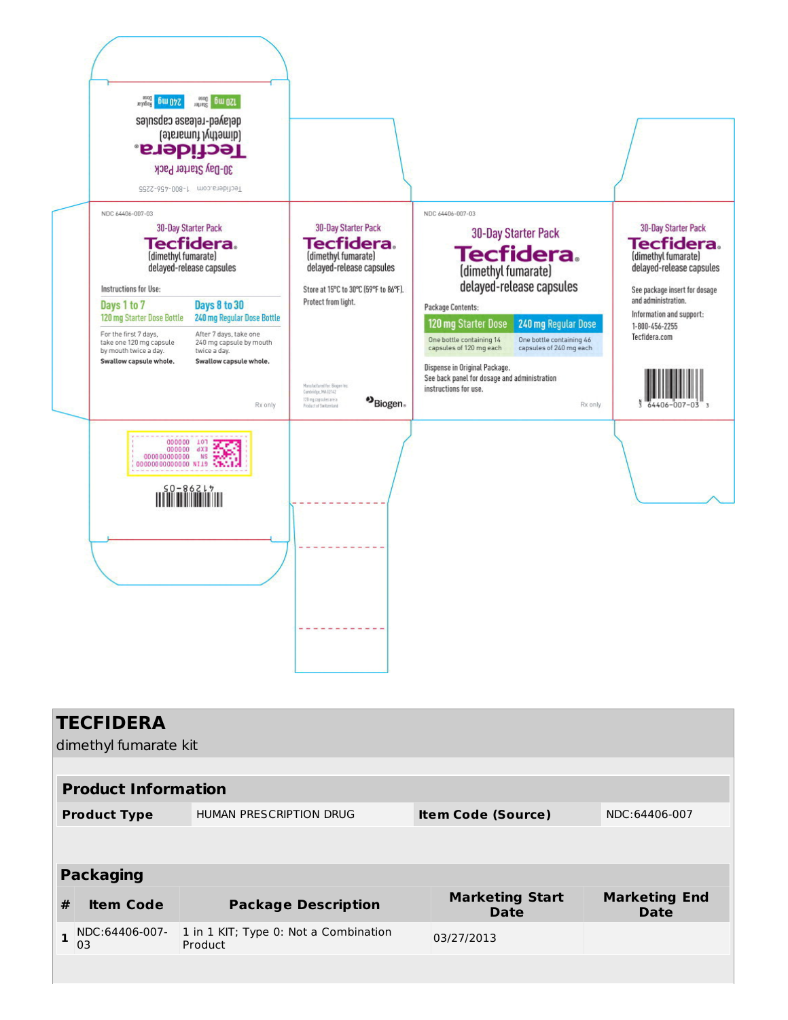

|   | <b>TECFIDERA</b>           |                                                  |                                |                                     |  |  |  |  |  |  |
|---|----------------------------|--------------------------------------------------|--------------------------------|-------------------------------------|--|--|--|--|--|--|
|   | dimethyl fumarate kit      |                                                  |                                |                                     |  |  |  |  |  |  |
|   |                            |                                                  |                                |                                     |  |  |  |  |  |  |
|   | <b>Product Information</b> |                                                  |                                |                                     |  |  |  |  |  |  |
|   | <b>Product Type</b>        | HUMAN PRESCRIPTION DRUG                          | <b>Item Code (Source)</b>      | NDC:64406-007                       |  |  |  |  |  |  |
|   |                            |                                                  |                                |                                     |  |  |  |  |  |  |
|   |                            |                                                  |                                |                                     |  |  |  |  |  |  |
|   | <b>Packaging</b>           |                                                  |                                |                                     |  |  |  |  |  |  |
| # | <b>Item Code</b>           | <b>Package Description</b>                       | <b>Marketing Start</b><br>Date | <b>Marketing End</b><br><b>Date</b> |  |  |  |  |  |  |
|   | NDC:64406-007-<br>03       | 1 in 1 KIT; Type 0: Not a Combination<br>Product | 03/27/2013                     |                                     |  |  |  |  |  |  |
|   |                            |                                                  |                                |                                     |  |  |  |  |  |  |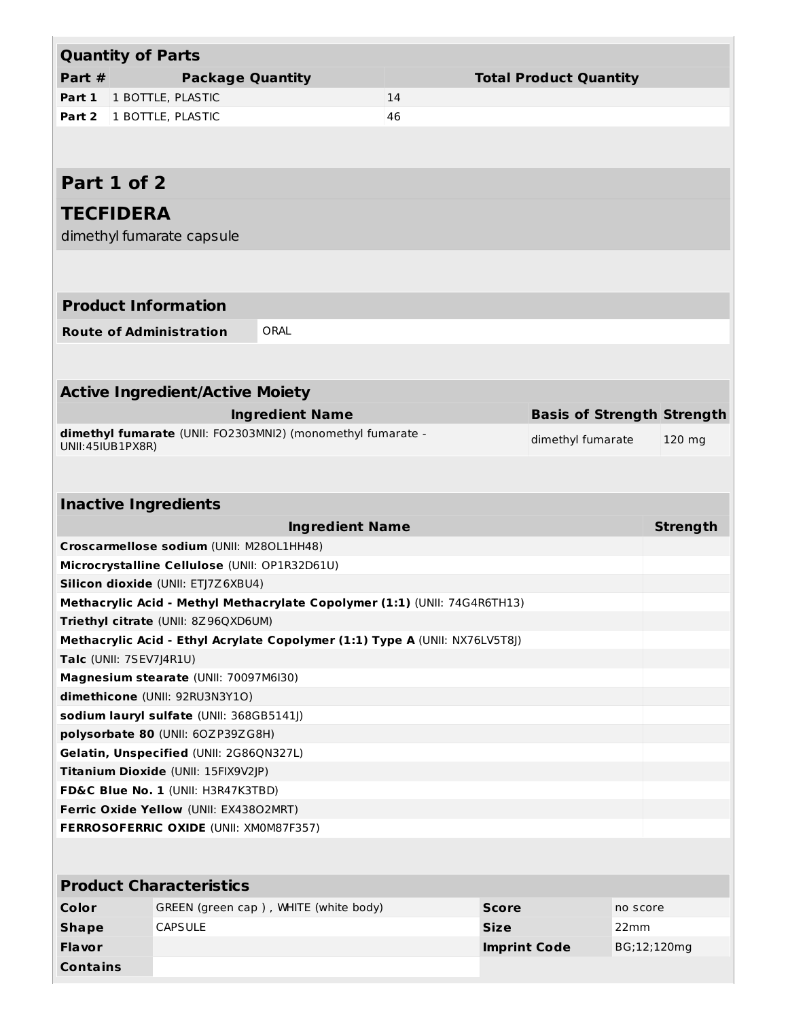| <b>Quantity of Parts</b>       |                                               |                                                                             |    |                     |                                   |             |                 |
|--------------------------------|-----------------------------------------------|-----------------------------------------------------------------------------|----|---------------------|-----------------------------------|-------------|-----------------|
| Part $#$                       | <b>Package Quantity</b>                       |                                                                             |    |                     | <b>Total Product Quantity</b>     |             |                 |
| Part 1                         | 1 BOTTLE, PLASTIC                             |                                                                             | 14 |                     |                                   |             |                 |
| Part 2                         | 1 BOTTLE, PLASTIC                             |                                                                             | 46 |                     |                                   |             |                 |
|                                |                                               |                                                                             |    |                     |                                   |             |                 |
|                                |                                               |                                                                             |    |                     |                                   |             |                 |
| Part 1 of 2                    |                                               |                                                                             |    |                     |                                   |             |                 |
| <b>TECFIDERA</b>               |                                               |                                                                             |    |                     |                                   |             |                 |
| dimethyl fumarate capsule      |                                               |                                                                             |    |                     |                                   |             |                 |
|                                |                                               |                                                                             |    |                     |                                   |             |                 |
|                                |                                               |                                                                             |    |                     |                                   |             |                 |
| <b>Product Information</b>     |                                               |                                                                             |    |                     |                                   |             |                 |
| <b>Route of Administration</b> |                                               | ORAL                                                                        |    |                     |                                   |             |                 |
|                                |                                               |                                                                             |    |                     |                                   |             |                 |
|                                |                                               |                                                                             |    |                     |                                   |             |                 |
|                                | <b>Active Ingredient/Active Moiety</b>        |                                                                             |    |                     |                                   |             |                 |
|                                |                                               | <b>Ingredient Name</b>                                                      |    |                     | <b>Basis of Strength Strength</b> |             |                 |
| UNII:45IUB1PX8R)               |                                               | dimethyl fumarate (UNII: FO2303MNI2) (monomethyl fumarate -                 |    |                     | dimethyl fumarate                 |             | 120 mg          |
|                                |                                               |                                                                             |    |                     |                                   |             |                 |
|                                |                                               |                                                                             |    |                     |                                   |             |                 |
| <b>Inactive Ingredients</b>    |                                               |                                                                             |    |                     |                                   |             |                 |
|                                |                                               | <b>Ingredient Name</b>                                                      |    |                     |                                   |             | <b>Strength</b> |
|                                | Croscarmellose sodium (UNII: M280L1HH48)      |                                                                             |    |                     |                                   |             |                 |
|                                | Microcrystalline Cellulose (UNII: OP1R32D61U) |                                                                             |    |                     |                                   |             |                 |
|                                | Silicon dioxide (UNII: ETJ7Z6XBU4)            |                                                                             |    |                     |                                   |             |                 |
|                                |                                               | Methacrylic Acid - Methyl Methacrylate Copolymer (1:1) (UNII: 74G4R6TH13)   |    |                     |                                   |             |                 |
|                                | Triethyl citrate (UNII: 8Z96QXD6UM)           |                                                                             |    |                     |                                   |             |                 |
|                                |                                               | Methacrylic Acid - Ethyl Acrylate Copolymer (1:1) Type A (UNII: NX76LV5T8J) |    |                     |                                   |             |                 |
| Talc (UNII: 7SEV7J4R1U)        |                                               |                                                                             |    |                     |                                   |             |                 |
|                                | Magnesium stearate (UNII: 70097M6I30)         |                                                                             |    |                     |                                   |             |                 |
|                                | dimethicone (UNII: 92RU3N3Y1O)                |                                                                             |    |                     |                                   |             |                 |
|                                | sodium lauryl sulfate (UNII: 368GB5141J)      |                                                                             |    |                     |                                   |             |                 |
|                                | polysorbate 80 (UNII: 60ZP39ZG8H)             |                                                                             |    |                     |                                   |             |                 |
|                                | Gelatin, Unspecified (UNII: 2G86QN327L)       |                                                                             |    |                     |                                   |             |                 |
|                                | Titanium Dioxide (UNII: 15FIX9V2JP)           |                                                                             |    |                     |                                   |             |                 |
|                                | FD&C Blue No. 1 (UNII: H3R47K3TBD)            |                                                                             |    |                     |                                   |             |                 |
|                                | Ferric Oxide Yellow (UNII: EX43802MRT)        |                                                                             |    |                     |                                   |             |                 |
|                                | FERROSOFERRIC OXIDE (UNII: XM0M87F357)        |                                                                             |    |                     |                                   |             |                 |
|                                |                                               |                                                                             |    |                     |                                   |             |                 |
|                                | <b>Product Characteristics</b>                |                                                                             |    |                     |                                   |             |                 |
| Color                          |                                               | GREEN (green cap), WHITE (white body)                                       |    | <b>Score</b>        |                                   | no score    |                 |
| <b>Shape</b>                   | <b>CAPSULE</b>                                |                                                                             |    | <b>Size</b>         |                                   | 22mm        |                 |
| <b>Flavor</b>                  |                                               |                                                                             |    | <b>Imprint Code</b> |                                   | BG;12;120mg |                 |
| <b>Contains</b>                |                                               |                                                                             |    |                     |                                   |             |                 |
|                                |                                               |                                                                             |    |                     |                                   |             |                 |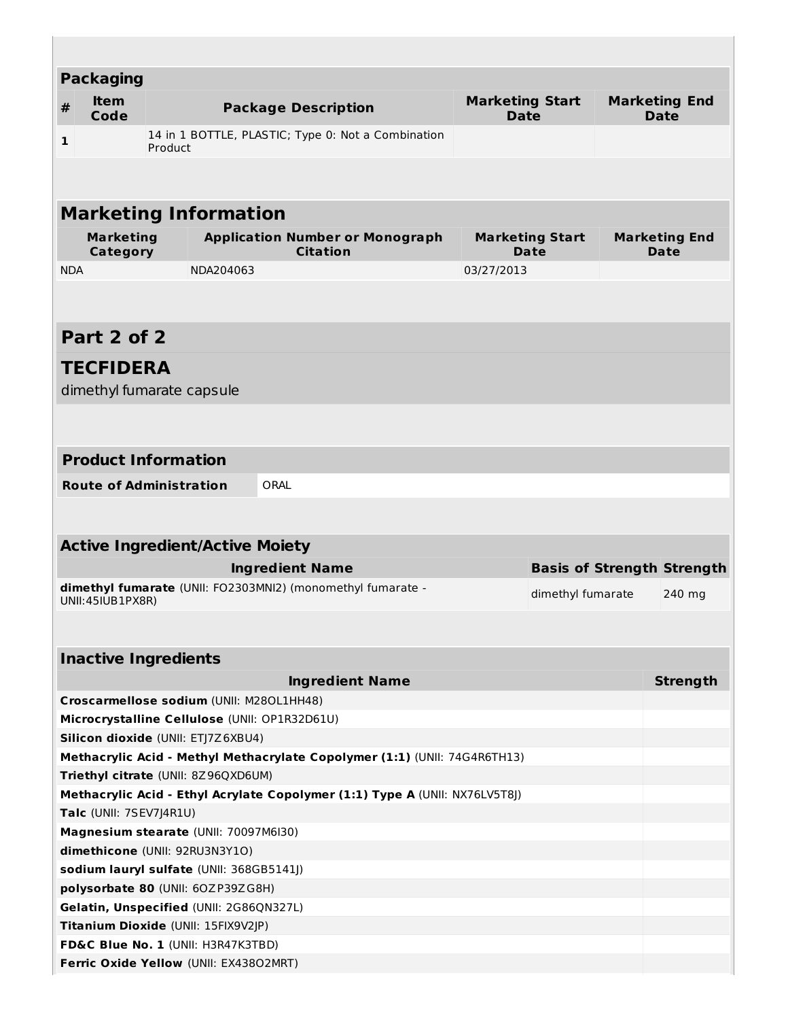| <b>Packaging</b>                                                              |         |           |                                                                             |  |                                       |                        |  |                                     |
|-------------------------------------------------------------------------------|---------|-----------|-----------------------------------------------------------------------------|--|---------------------------------------|------------------------|--|-------------------------------------|
| <b>Item</b><br>#<br>Code                                                      |         |           | <b>Package Description</b>                                                  |  | <b>Marketing Start</b><br><b>Date</b> |                        |  | <b>Marketing End</b><br><b>Date</b> |
| 1                                                                             | Product |           | 14 in 1 BOTTLE, PLASTIC; Type 0: Not a Combination                          |  |                                       |                        |  |                                     |
|                                                                               |         |           |                                                                             |  |                                       |                        |  |                                     |
|                                                                               |         |           |                                                                             |  |                                       |                        |  |                                     |
| <b>Marketing Information</b>                                                  |         |           |                                                                             |  |                                       |                        |  |                                     |
| <b>Marketing</b>                                                              |         |           | <b>Application Number or Monograph</b>                                      |  |                                       | <b>Marketing Start</b> |  | <b>Marketing End</b>                |
| Category                                                                      |         |           | <b>Citation</b>                                                             |  |                                       | Date                   |  | Date                                |
| <b>NDA</b>                                                                    |         | NDA204063 |                                                                             |  | 03/27/2013                            |                        |  |                                     |
|                                                                               |         |           |                                                                             |  |                                       |                        |  |                                     |
|                                                                               |         |           |                                                                             |  |                                       |                        |  |                                     |
| Part 2 of 2                                                                   |         |           |                                                                             |  |                                       |                        |  |                                     |
| <b>TECFIDERA</b>                                                              |         |           |                                                                             |  |                                       |                        |  |                                     |
| dimethyl fumarate capsule                                                     |         |           |                                                                             |  |                                       |                        |  |                                     |
|                                                                               |         |           |                                                                             |  |                                       |                        |  |                                     |
|                                                                               |         |           |                                                                             |  |                                       |                        |  |                                     |
| <b>Product Information</b>                                                    |         |           |                                                                             |  |                                       |                        |  |                                     |
|                                                                               |         |           |                                                                             |  |                                       |                        |  |                                     |
| <b>Route of Administration</b>                                                |         |           | ORAL                                                                        |  |                                       |                        |  |                                     |
|                                                                               |         |           |                                                                             |  |                                       |                        |  |                                     |
| <b>Active Ingredient/Active Moiety</b>                                        |         |           |                                                                             |  |                                       |                        |  |                                     |
|                                                                               |         |           | <b>Ingredient Name</b>                                                      |  |                                       |                        |  | <b>Basis of Strength Strength</b>   |
|                                                                               |         |           | dimethyl fumarate (UNII: FO2303MNI2) (monomethyl fumarate -                 |  |                                       | dimethyl fumarate      |  |                                     |
| UNII:45IUB1PX8R)                                                              |         |           |                                                                             |  |                                       |                        |  | 240 mg                              |
|                                                                               |         |           |                                                                             |  |                                       |                        |  |                                     |
|                                                                               |         |           |                                                                             |  |                                       |                        |  |                                     |
| <b>Inactive Ingredients</b>                                                   |         |           |                                                                             |  |                                       |                        |  |                                     |
|                                                                               |         |           | <b>Ingredient Name</b>                                                      |  |                                       |                        |  | <b>Strength</b>                     |
| Croscarmellose sodium (UNII: M280L1HH48)                                      |         |           |                                                                             |  |                                       |                        |  |                                     |
| Microcrystalline Cellulose (UNII: OP1R32D61U)                                 |         |           |                                                                             |  |                                       |                        |  |                                     |
| Silicon dioxide (UNII: ETJ7Z6XBU4)                                            |         |           |                                                                             |  |                                       |                        |  |                                     |
| <b>Triethyl citrate (UNII: 8Z96QXD6UM)</b>                                    |         |           | Methacrylic Acid - Methyl Methacrylate Copolymer (1:1) (UNII: 74G4R6TH13)   |  |                                       |                        |  |                                     |
|                                                                               |         |           | Methacrylic Acid - Ethyl Acrylate Copolymer (1:1) Type A (UNII: NX76LV5T8J) |  |                                       |                        |  |                                     |
|                                                                               |         |           |                                                                             |  |                                       |                        |  |                                     |
| Talc (UNII: 7SEV7J4R1U)<br>Magnesium stearate (UNII: 70097M6I30)              |         |           |                                                                             |  |                                       |                        |  |                                     |
| dimethicone (UNII: 92RU3N3Y1O)                                                |         |           |                                                                             |  |                                       |                        |  |                                     |
|                                                                               |         |           |                                                                             |  |                                       |                        |  |                                     |
| sodium lauryl sulfate (UNII: 368GB5141J)<br>polysorbate 80 (UNII: 60ZP39ZG8H) |         |           |                                                                             |  |                                       |                        |  |                                     |
| Gelatin, Unspecified (UNII: 2G86QN327L)                                       |         |           |                                                                             |  |                                       |                        |  |                                     |
| Titanium Dioxide (UNII: 15FIX9V2JP)                                           |         |           |                                                                             |  |                                       |                        |  |                                     |
| FD&C Blue No. 1 (UNII: H3R47K3TBD)                                            |         |           |                                                                             |  |                                       |                        |  |                                     |
| Ferric Oxide Yellow (UNII: EX43802MRT)                                        |         |           |                                                                             |  |                                       |                        |  |                                     |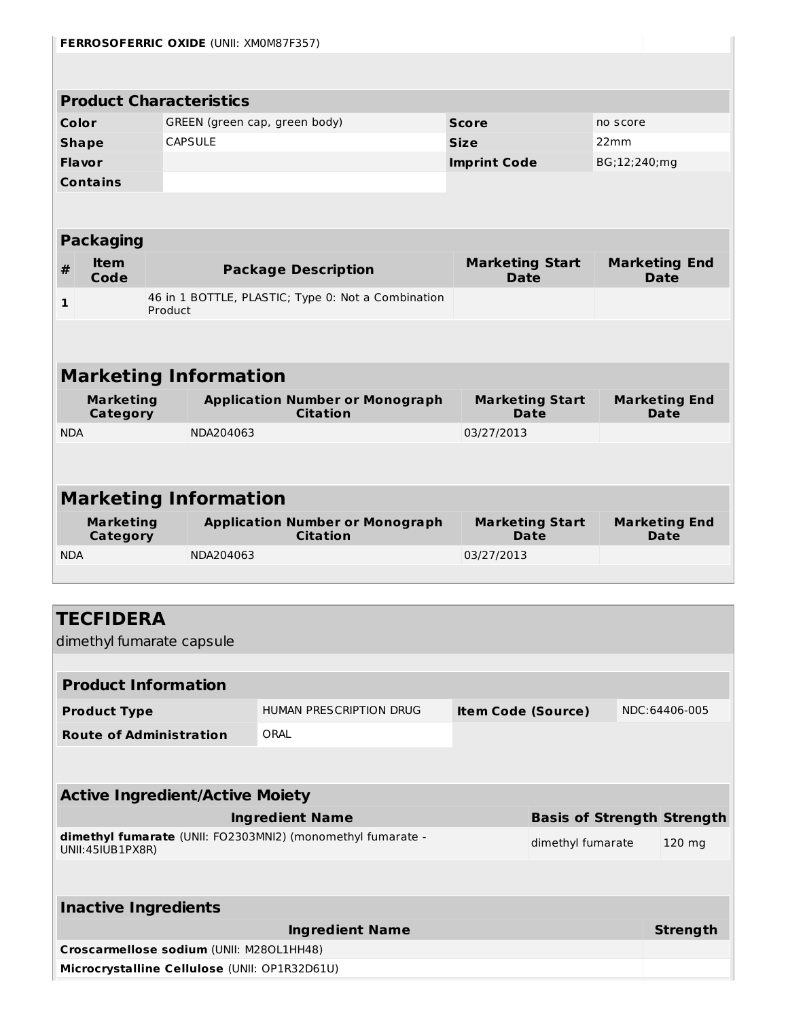| <b>FERROSOFERRIC OXIDE (UNII: XMOM87F357)</b>                      |                                               |                 |                                                             |                     |                                       |              |                                     |  |  |
|--------------------------------------------------------------------|-----------------------------------------------|-----------------|-------------------------------------------------------------|---------------------|---------------------------------------|--------------|-------------------------------------|--|--|
|                                                                    |                                               |                 |                                                             |                     |                                       |              |                                     |  |  |
| <b>Product Characteristics</b>                                     |                                               |                 |                                                             |                     |                                       |              |                                     |  |  |
| Color<br>GREEN (green cap, green body)<br><b>Score</b><br>no score |                                               |                 |                                                             |                     |                                       |              |                                     |  |  |
| <b>Shape</b>                                                       |                                               | <b>CAPSULE</b>  |                                                             | <b>Size</b>         |                                       | 22mm         |                                     |  |  |
| <b>Flavor</b>                                                      |                                               |                 |                                                             |                     |                                       | BG;12;240;mg |                                     |  |  |
| <b>Contains</b>                                                    |                                               |                 |                                                             | <b>Imprint Code</b> |                                       |              |                                     |  |  |
|                                                                    |                                               |                 |                                                             |                     |                                       |              |                                     |  |  |
|                                                                    |                                               |                 |                                                             |                     |                                       |              |                                     |  |  |
| <b>Packaging</b>                                                   |                                               |                 |                                                             |                     |                                       |              |                                     |  |  |
| <b>Item</b><br>#<br>Code                                           |                                               |                 | <b>Package Description</b>                                  |                     | <b>Marketing Start</b><br><b>Date</b> |              | <b>Marketing End</b><br><b>Date</b> |  |  |
| 1                                                                  |                                               |                 | 46 in 1 BOTTLE, PLASTIC; Type 0: Not a Combination          |                     |                                       |              |                                     |  |  |
|                                                                    | Product                                       |                 |                                                             |                     |                                       |              |                                     |  |  |
|                                                                    |                                               |                 |                                                             |                     |                                       |              |                                     |  |  |
| <b>Marketing Information</b>                                       |                                               |                 |                                                             |                     |                                       |              |                                     |  |  |
| <b>Marketing</b>                                                   |                                               |                 | <b>Application Number or Monograph</b>                      |                     | <b>Marketing Start</b>                |              | <b>Marketing End</b>                |  |  |
| <b>Category</b><br><b>NDA</b>                                      |                                               | NDA204063       | <b>Citation</b>                                             | 03/27/2013          | Date                                  |              | Date                                |  |  |
|                                                                    |                                               |                 |                                                             |                     |                                       |              |                                     |  |  |
|                                                                    |                                               |                 |                                                             |                     |                                       |              |                                     |  |  |
| <b>Marketing Information</b>                                       |                                               |                 |                                                             |                     |                                       |              |                                     |  |  |
| <b>Marketing</b>                                                   |                                               |                 | <b>Application Number or Monograph</b>                      |                     | <b>Marketing Start</b>                |              | <b>Marketing End</b>                |  |  |
| Category                                                           |                                               | <b>Citation</b> |                                                             | <b>Date</b>         |                                       |              | Date                                |  |  |
| <b>NDA</b>                                                         |                                               | NDA204063       |                                                             | 03/27/2013          |                                       |              |                                     |  |  |
|                                                                    |                                               |                 |                                                             |                     |                                       |              |                                     |  |  |
|                                                                    |                                               |                 |                                                             |                     |                                       |              |                                     |  |  |
| TECFIDERA                                                          |                                               |                 |                                                             |                     |                                       |              |                                     |  |  |
| dimethyl fumarate capsule                                          |                                               |                 |                                                             |                     |                                       |              |                                     |  |  |
|                                                                    |                                               |                 |                                                             |                     |                                       |              |                                     |  |  |
| <b>Product Information</b>                                         |                                               |                 |                                                             |                     |                                       |              |                                     |  |  |
| <b>Product Type</b>                                                |                                               |                 | HUMAN PRESCRIPTION DRUG                                     |                     | <b>Item Code (Source)</b>             |              | NDC:64406-005                       |  |  |
| <b>Route of Administration</b>                                     |                                               |                 | ORAL                                                        |                     |                                       |              |                                     |  |  |
|                                                                    |                                               |                 |                                                             |                     |                                       |              |                                     |  |  |
| <b>Active Ingredient/Active Moiety</b>                             |                                               |                 |                                                             |                     |                                       |              |                                     |  |  |
|                                                                    |                                               |                 | <b>Ingredient Name</b>                                      |                     |                                       |              | <b>Basis of Strength Strength</b>   |  |  |
|                                                                    |                                               |                 | dimethyl fumarate (UNII: FO2303MNI2) (monomethyl fumarate - |                     | dimethyl fumarate                     |              | 120 mg                              |  |  |
| UNII:45IUB1PX8R)                                                   |                                               |                 |                                                             |                     |                                       |              |                                     |  |  |
|                                                                    |                                               |                 |                                                             |                     |                                       |              |                                     |  |  |
| <b>Inactive Ingredients</b>                                        |                                               |                 |                                                             |                     |                                       |              |                                     |  |  |
|                                                                    |                                               |                 | <b>Ingredient Name</b>                                      |                     |                                       |              | <b>Strength</b>                     |  |  |
| Croscarmellose sodium (UNII: M280L1HH48)                           |                                               |                 |                                                             |                     |                                       |              |                                     |  |  |
|                                                                    | Microcrystalline Cellulose (UNII: OP1R32D61U) |                 |                                                             |                     |                                       |              |                                     |  |  |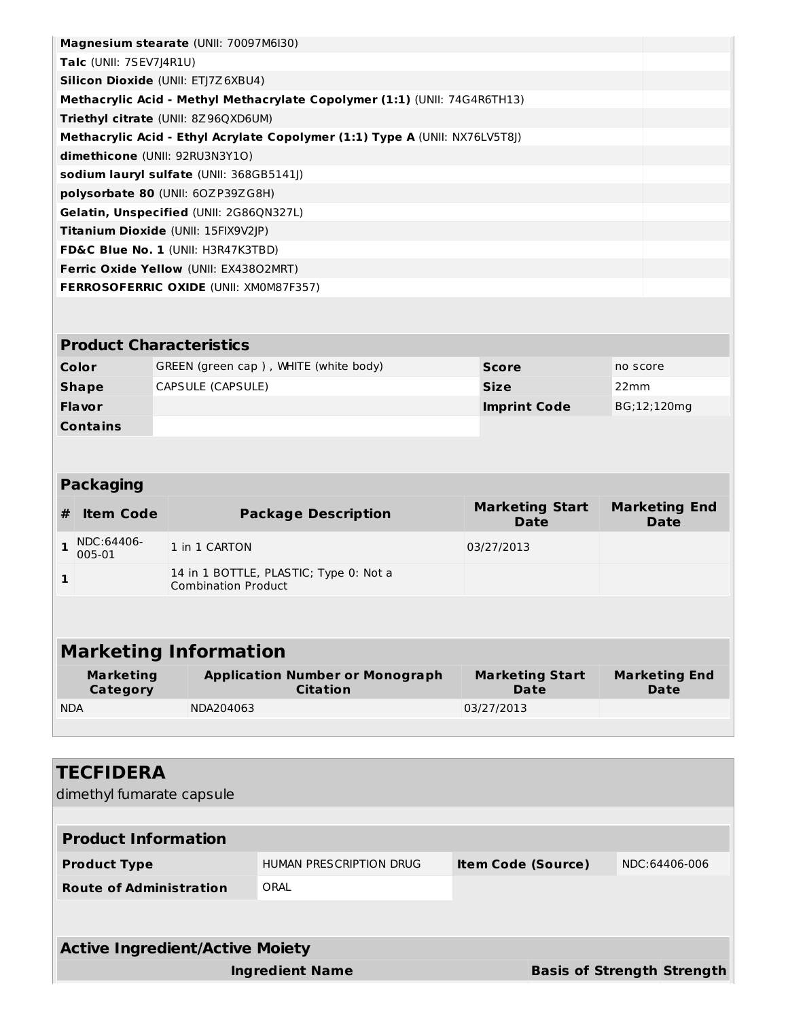| Magnesium stearate (UNII: 70097M6I30)<br>Talc (UNII: 7SEV7J4R1U)          |                                |  |                                                                             |  |                                       |          |                              |  |  |
|---------------------------------------------------------------------------|--------------------------------|--|-----------------------------------------------------------------------------|--|---------------------------------------|----------|------------------------------|--|--|
| Silicon Dioxide (UNII: ETJ7Z6XBU4)                                        |                                |  |                                                                             |  |                                       |          |                              |  |  |
| Methacrylic Acid - Methyl Methacrylate Copolymer (1:1) (UNII: 74G4R6TH13) |                                |  |                                                                             |  |                                       |          |                              |  |  |
|                                                                           |                                |  | Triethyl citrate (UNII: 8Z96QXD6UM)                                         |  |                                       |          |                              |  |  |
|                                                                           |                                |  | Methacrylic Acid - Ethyl Acrylate Copolymer (1:1) Type A (UNII: NX76LV5T8J) |  |                                       |          |                              |  |  |
|                                                                           | dimethicone (UNII: 92RU3N3Y1O) |  |                                                                             |  |                                       |          |                              |  |  |
|                                                                           |                                |  | sodium lauryl sulfate (UNII: 368GB5141J)                                    |  |                                       |          |                              |  |  |
|                                                                           |                                |  | polysorbate 80 (UNII: 60ZP39ZG8H)                                           |  |                                       |          |                              |  |  |
|                                                                           |                                |  | Gelatin, Unspecified (UNII: 2G86QN327L)                                     |  |                                       |          |                              |  |  |
|                                                                           |                                |  | Titanium Dioxide (UNII: 15FIX9V2JP)                                         |  |                                       |          |                              |  |  |
|                                                                           |                                |  | FD&C Blue No. 1 (UNII: H3R47K3TBD)                                          |  |                                       |          |                              |  |  |
|                                                                           |                                |  | <b>Ferric Oxide Yellow (UNII: EX43802MRT)</b>                               |  |                                       |          |                              |  |  |
|                                                                           |                                |  | <b>FERROSOFERRIC OXIDE (UNII: XM0M87F357)</b>                               |  |                                       |          |                              |  |  |
|                                                                           |                                |  |                                                                             |  |                                       |          |                              |  |  |
|                                                                           |                                |  |                                                                             |  |                                       |          |                              |  |  |
|                                                                           | <b>Product Characteristics</b> |  |                                                                             |  |                                       |          |                              |  |  |
|                                                                           | Color                          |  | GREEN (green cap), WHITE (white body)                                       |  | <b>Score</b>                          | no score |                              |  |  |
|                                                                           | <b>Shape</b>                   |  | CAPSULE (CAPSULE)                                                           |  | <b>Size</b>                           | 22mm     |                              |  |  |
|                                                                           | <b>Flavor</b>                  |  |                                                                             |  | <b>Imprint Code</b>                   |          | BG;12;120mg                  |  |  |
|                                                                           | <b>Contains</b>                |  |                                                                             |  |                                       |          |                              |  |  |
|                                                                           |                                |  |                                                                             |  |                                       |          |                              |  |  |
|                                                                           |                                |  |                                                                             |  |                                       |          |                              |  |  |
|                                                                           | <b>Packaging</b>               |  |                                                                             |  |                                       |          |                              |  |  |
| #                                                                         | <b>Item Code</b>               |  | <b>Package Description</b>                                                  |  | <b>Marketing Start</b><br>Date        |          | <b>Marketing End</b><br>Date |  |  |
| 1                                                                         | NDC:64406-<br>005-01           |  | 1 in 1 CARTON                                                               |  | 03/27/2013                            |          |                              |  |  |
| 1                                                                         |                                |  | 14 in 1 BOTTLE, PLASTIC; Type 0: Not a<br><b>Combination Product</b>        |  |                                       |          |                              |  |  |
|                                                                           |                                |  |                                                                             |  |                                       |          |                              |  |  |
|                                                                           |                                |  |                                                                             |  |                                       |          |                              |  |  |
|                                                                           |                                |  | <b>Marketing Information</b>                                                |  |                                       |          |                              |  |  |
|                                                                           | <b>Marketing</b><br>Category   |  | <b>Application Number or Monograph</b><br><b>Citation</b>                   |  | <b>Marketing Start</b><br><b>Date</b> |          | <b>Marketing End</b><br>Date |  |  |
| <b>NDA</b>                                                                |                                |  | NDA204063                                                                   |  | 03/27/2013                            |          |                              |  |  |

| <b>TECFIDERA</b>                       |                                |                           |                                   |  |  |  |  |  |
|----------------------------------------|--------------------------------|---------------------------|-----------------------------------|--|--|--|--|--|
| dimethyl fumarate capsule              |                                |                           |                                   |  |  |  |  |  |
|                                        |                                |                           |                                   |  |  |  |  |  |
| <b>Product Information</b>             |                                |                           |                                   |  |  |  |  |  |
| <b>Product Type</b>                    | <b>HUMAN PRESCRIPTION DRUG</b> | <b>Item Code (Source)</b> | NDC:64406-006                     |  |  |  |  |  |
| <b>Route of Administration</b>         | ORAI                           |                           |                                   |  |  |  |  |  |
|                                        |                                |                           |                                   |  |  |  |  |  |
|                                        |                                |                           |                                   |  |  |  |  |  |
| <b>Active Ingredient/Active Moiety</b> |                                |                           |                                   |  |  |  |  |  |
|                                        | <b>Ingredient Name</b>         |                           | <b>Basis of Strength Strength</b> |  |  |  |  |  |
|                                        |                                |                           |                                   |  |  |  |  |  |